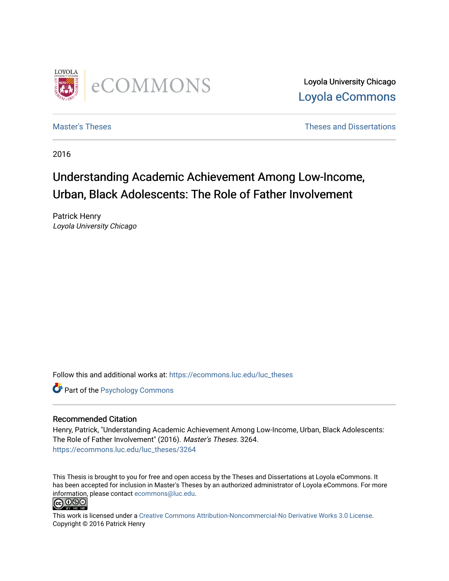

Loyola University Chicago [Loyola eCommons](https://ecommons.luc.edu/) 

[Master's Theses](https://ecommons.luc.edu/luc_theses) **Theses Theses** and Dissertations **Theses** and Dissertations

2016

# Understanding Academic Achievement Among Low-Income, Urban, Black Adolescents: The Role of Father Involvement

Patrick Henry Loyola University Chicago

Follow this and additional works at: [https://ecommons.luc.edu/luc\\_theses](https://ecommons.luc.edu/luc_theses?utm_source=ecommons.luc.edu%2Fluc_theses%2F3264&utm_medium=PDF&utm_campaign=PDFCoverPages) 

**Part of the Psychology Commons** 

#### Recommended Citation

Henry, Patrick, "Understanding Academic Achievement Among Low-Income, Urban, Black Adolescents: The Role of Father Involvement" (2016). Master's Theses. 3264. [https://ecommons.luc.edu/luc\\_theses/3264](https://ecommons.luc.edu/luc_theses/3264?utm_source=ecommons.luc.edu%2Fluc_theses%2F3264&utm_medium=PDF&utm_campaign=PDFCoverPages)

This Thesis is brought to you for free and open access by the Theses and Dissertations at Loyola eCommons. It has been accepted for inclusion in Master's Theses by an authorized administrator of Loyola eCommons. For more information, please contact [ecommons@luc.edu.](mailto:ecommons@luc.edu)



This work is licensed under a [Creative Commons Attribution-Noncommercial-No Derivative Works 3.0 License.](https://creativecommons.org/licenses/by-nc-nd/3.0/) Copyright © 2016 Patrick Henry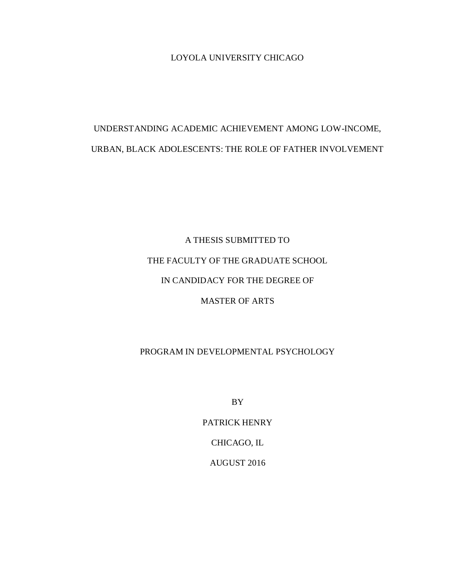LOYOLA UNIVERSITY CHICAGO

# UNDERSTANDING ACADEMIC ACHIEVEMENT AMONG LOW-INCOME, URBAN, BLACK ADOLESCENTS: THE ROLE OF FATHER INVOLVEMENT

A THESIS SUBMITTED TO THE FACULTY OF THE GRADUATE SCHOOL IN CANDIDACY FOR THE DEGREE OF MASTER OF ARTS

# PROGRAM IN DEVELOPMENTAL PSYCHOLOGY

BY

PATRICK HENRY CHICAGO, IL

AUGUST 2016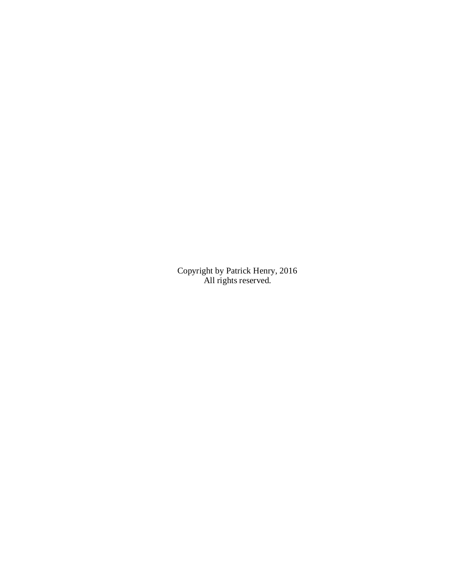Copyright by Patrick Henry, 2016 All rights reserved.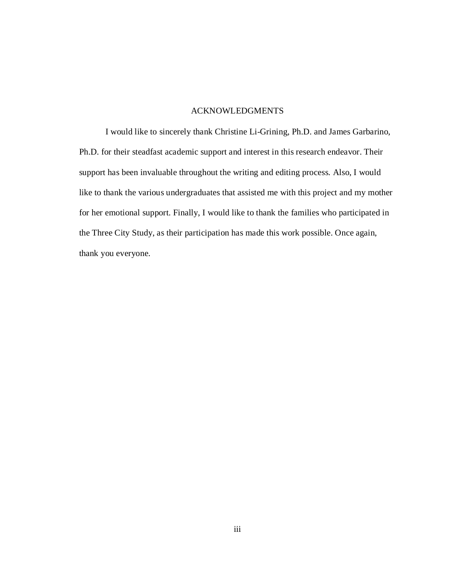### ACKNOWLEDGMENTS

I would like to sincerely thank Christine Li-Grining, Ph.D. and James Garbarino, Ph.D. for their steadfast academic support and interest in this research endeavor. Their support has been invaluable throughout the writing and editing process. Also, I would like to thank the various undergraduates that assisted me with this project and my mother for her emotional support. Finally, I would like to thank the families who participated in the Three City Study, as their participation has made this work possible. Once again, thank you everyone.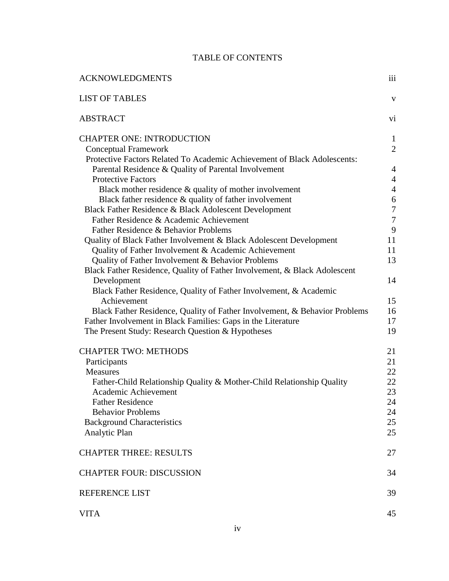# TABLE OF CONTENTS

| <b>ACKNOWLEDGMENTS</b>                                                                                                                      | iii                            |
|---------------------------------------------------------------------------------------------------------------------------------------------|--------------------------------|
| <b>LIST OF TABLES</b>                                                                                                                       | $\mathbf{V}$                   |
| <b>ABSTRACT</b>                                                                                                                             | vi                             |
| <b>CHAPTER ONE: INTRODUCTION</b><br><b>Conceptual Framework</b><br>Protective Factors Related To Academic Achievement of Black Adolescents: | $\mathbf{1}$<br>$\overline{2}$ |
| Parental Residence & Quality of Parental Involvement                                                                                        | $\overline{4}$                 |
| <b>Protective Factors</b>                                                                                                                   | $\overline{4}$                 |
| Black mother residence $\&$ quality of mother involvement                                                                                   | $\overline{4}$                 |
| Black father residence & quality of father involvement                                                                                      | 6                              |
| Black Father Residence & Black Adolescent Development                                                                                       | $\tau$                         |
| Father Residence & Academic Achievement                                                                                                     | $\overline{7}$                 |
| Father Residence & Behavior Problems                                                                                                        | 9                              |
| Quality of Black Father Involvement & Black Adolescent Development                                                                          | 11                             |
| Quality of Father Involvement & Academic Achievement                                                                                        | 11                             |
| Quality of Father Involvement & Behavior Problems                                                                                           | 13                             |
| Black Father Residence, Quality of Father Involvement, & Black Adolescent                                                                   |                                |
| Development                                                                                                                                 | 14                             |
| Black Father Residence, Quality of Father Involvement, & Academic                                                                           |                                |
| Achievement                                                                                                                                 | 15<br>16                       |
| Black Father Residence, Quality of Father Involvement, & Behavior Problems<br>Father Involvement in Black Families: Gaps in the Literature  | 17                             |
|                                                                                                                                             | 19                             |
| The Present Study: Research Question & Hypotheses                                                                                           |                                |
| <b>CHAPTER TWO: METHODS</b>                                                                                                                 | 21                             |
| Participants                                                                                                                                | 21                             |
| <b>Measures</b>                                                                                                                             | 22                             |
| Father-Child Relationship Quality & Mother-Child Relationship Quality                                                                       | 22                             |
| Academic Achievement                                                                                                                        | 23                             |
| <b>Father Residence</b>                                                                                                                     | 24                             |
| <b>Behavior Problems</b>                                                                                                                    | 24                             |
| <b>Background Characteristics</b>                                                                                                           | 25                             |
| Analytic Plan                                                                                                                               | 25                             |
|                                                                                                                                             |                                |
| <b>CHAPTER THREE: RESULTS</b>                                                                                                               | 27                             |
| <b>CHAPTER FOUR: DISCUSSION</b>                                                                                                             | 34                             |
| <b>REFERENCE LIST</b>                                                                                                                       | 39                             |
| <b>VITA</b>                                                                                                                                 | 45                             |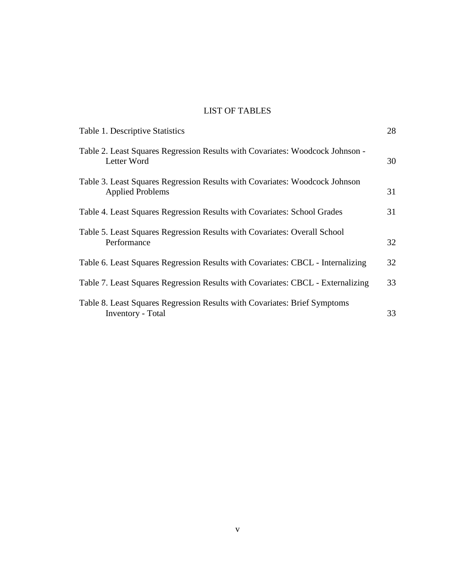# LIST OF TABLES

| Table 1. Descriptive Statistics                                                                        | 28 |
|--------------------------------------------------------------------------------------------------------|----|
| Table 2. Least Squares Regression Results with Covariates: Woodcock Johnson -<br>Letter Word           | 30 |
| Table 3. Least Squares Regression Results with Covariates: Woodcock Johnson<br><b>Applied Problems</b> | 31 |
| Table 4. Least Squares Regression Results with Covariates: School Grades                               | 31 |
| Table 5. Least Squares Regression Results with Covariates: Overall School<br>Performance               | 32 |
| Table 6. Least Squares Regression Results with Covariates: CBCL - Internalizing                        | 32 |
| Table 7. Least Squares Regression Results with Covariates: CBCL - Externalizing                        | 33 |
| Table 8. Least Squares Regression Results with Covariates: Brief Symptoms<br><b>Inventory</b> - Total  | 33 |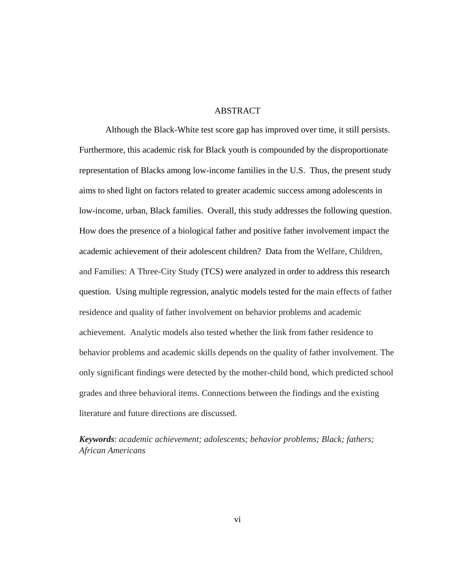#### ABSTRACT

Although the Black-White test score gap has improved over time, it still persists. Furthermore, this academic risk for Black youth is compounded by the disproportionate representation of Blacks among low-income families in the U.S. Thus, the present study aims to shed light on factors related to greater academic success among adolescents in low-income, urban, Black families. Overall, this study addresses the following question. How does the presence of a biological father and positive father involvement impact the academic achievement of their adolescent children? Data from the Welfare, Children, and Families: A Three-City Study (TCS) were analyzed in order to address this research question. Using multiple regression, analytic models tested for the main effects of father residence and quality of father involvement on behavior problems and academic achievement. Analytic models also tested whether the link from father residence to behavior problems and academic skills depends on the quality of father involvement. The only significant findings were detected by the mother-child bond, which predicted school grades and three behavioral items. Connections between the findings and the existing literature and future directions are discussed.

*Keywords*: *academic achievement; adolescents; behavior problems; Black; fathers; African Americans*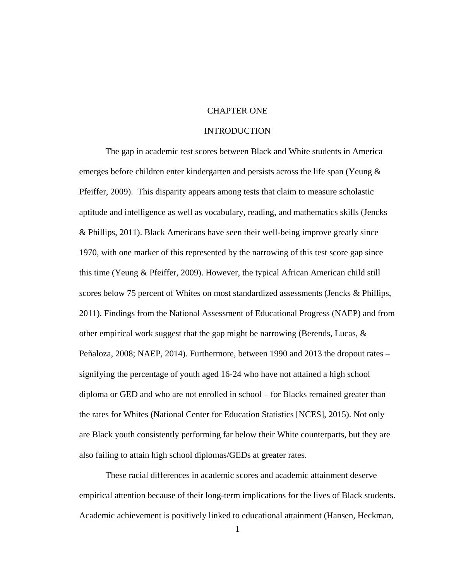## CHAPTER ONE

#### INTRODUCTION

The gap in academic test scores between Black and White students in America emerges before children enter kindergarten and persists across the life span (Yeung & Pfeiffer, 2009). This disparity appears among tests that claim to measure scholastic aptitude and intelligence as well as vocabulary, reading, and mathematics skills (Jencks & Phillips, 2011). Black Americans have seen their well-being improve greatly since 1970, with one marker of this represented by the narrowing of this test score gap since this time (Yeung & Pfeiffer, 2009). However, the typical African American child still scores below 75 percent of Whites on most standardized assessments (Jencks & Phillips, 2011). Findings from the National Assessment of Educational Progress (NAEP) and from other empirical work suggest that the gap might be narrowing (Berends, Lucas, & Peñaloza, 2008; NAEP, 2014). Furthermore, between 1990 and 2013 the dropout rates – signifying the percentage of youth aged 16-24 who have not attained a high school diploma or GED and who are not enrolled in school – for Blacks remained greater than the rates for Whites (National Center for Education Statistics [NCES], 2015). Not only are Black youth consistently performing far below their White counterparts, but they are also failing to attain high school diplomas/GEDs at greater rates.

These racial differences in academic scores and academic attainment deserve empirical attention because of their long-term implications for the lives of Black students. Academic achievement is positively linked to educational attainment (Hansen, Heckman,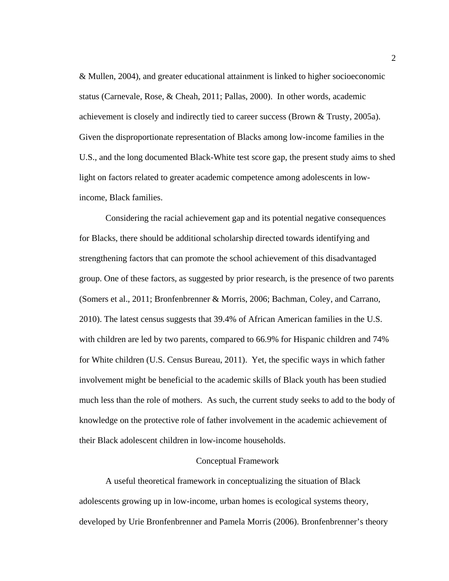& Mullen, 2004), and greater educational attainment is linked to higher socioeconomic status (Carnevale, Rose, & Cheah, 2011; Pallas, 2000). In other words, academic achievement is closely and indirectly tied to career success (Brown & Trusty, 2005a). Given the disproportionate representation of Blacks among low-income families in the U.S., and the long documented Black-White test score gap, the present study aims to shed light on factors related to greater academic competence among adolescents in lowincome, Black families.

Considering the racial achievement gap and its potential negative consequences for Blacks, there should be additional scholarship directed towards identifying and strengthening factors that can promote the school achievement of this disadvantaged group. One of these factors, as suggested by prior research, is the presence of two parents (Somers et al., 2011; Bronfenbrenner & Morris, 2006; Bachman, Coley, and Carrano, 2010). The latest census suggests that 39.4% of African American families in the U.S. with children are led by two parents, compared to 66.9% for Hispanic children and 74% for White children (U.S. Census Bureau, 2011). Yet, the specific ways in which father involvement might be beneficial to the academic skills of Black youth has been studied much less than the role of mothers. As such, the current study seeks to add to the body of knowledge on the protective role of father involvement in the academic achievement of their Black adolescent children in low-income households.

#### Conceptual Framework

A useful theoretical framework in conceptualizing the situation of Black adolescents growing up in low-income, urban homes is ecological systems theory, developed by Urie Bronfenbrenner and Pamela Morris (2006). Bronfenbrenner's theory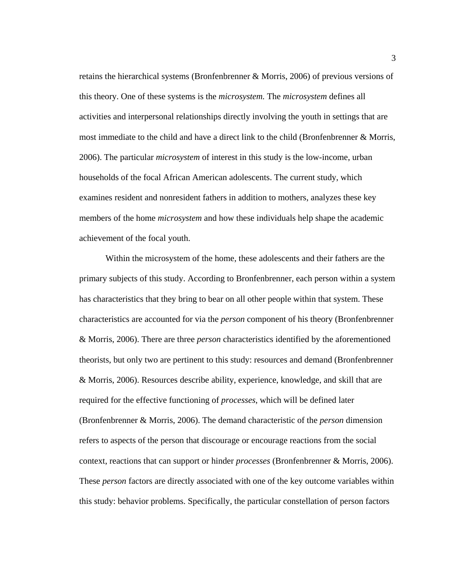retains the hierarchical systems (Bronfenbrenner & Morris, 2006) of previous versions of this theory. One of these systems is the *microsystem.* The *microsystem* defines all activities and interpersonal relationships directly involving the youth in settings that are most immediate to the child and have a direct link to the child (Bronfenbrenner & Morris, 2006). The particular *microsystem* of interest in this study is the low-income, urban households of the focal African American adolescents. The current study, which examines resident and nonresident fathers in addition to mothers, analyzes these key members of the home *microsystem* and how these individuals help shape the academic achievement of the focal youth.

Within the microsystem of the home, these adolescents and their fathers are the primary subjects of this study. According to Bronfenbrenner, each person within a system has characteristics that they bring to bear on all other people within that system. These characteristics are accounted for via the *person* component of his theory (Bronfenbrenner & Morris, 2006). There are three *person* characteristics identified by the aforementioned theorists, but only two are pertinent to this study: resources and demand (Bronfenbrenner & Morris, 2006). Resources describe ability, experience, knowledge, and skill that are required for the effective functioning of *processes*, which will be defined later (Bronfenbrenner & Morris, 2006). The demand characteristic of the *person* dimension refers to aspects of the person that discourage or encourage reactions from the social context, reactions that can support or hinder *processes* (Bronfenbrenner & Morris, 2006). These *person* factors are directly associated with one of the key outcome variables within this study: behavior problems. Specifically, the particular constellation of person factors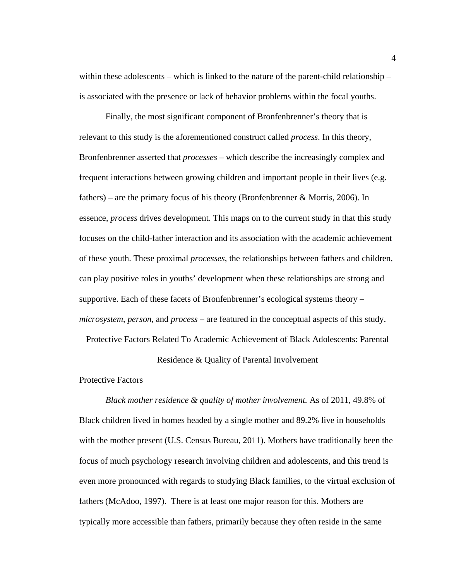within these adolescents – which is linked to the nature of the parent-child relationship – is associated with the presence or lack of behavior problems within the focal youths.

Finally, the most significant component of Bronfenbrenner's theory that is relevant to this study is the aforementioned construct called *process*. In this theory, Bronfenbrenner asserted that *processes* – which describe the increasingly complex and frequent interactions between growing children and important people in their lives (e.g. fathers) – are the primary focus of his theory (Bronfenbrenner & Morris, 2006). In essence, *process* drives development. This maps on to the current study in that this study focuses on the child-father interaction and its association with the academic achievement of these youth. These proximal *processes*, the relationships between fathers and children, can play positive roles in youths' development when these relationships are strong and supportive. Each of these facets of Bronfenbrenner's ecological systems theory – *microsystem*, *person*, and *process* – are featured in the conceptual aspects of this study.

Protective Factors Related To Academic Achievement of Black Adolescents: Parental

Residence & Quality of Parental Involvement

Protective Factors

*Black mother residence & quality of mother involvement.* As of 2011, 49.8% of Black children lived in homes headed by a single mother and 89.2% live in households with the mother present (U.S. Census Bureau, 2011). Mothers have traditionally been the focus of much psychology research involving children and adolescents, and this trend is even more pronounced with regards to studying Black families, to the virtual exclusion of fathers (McAdoo, 1997). There is at least one major reason for this. Mothers are typically more accessible than fathers, primarily because they often reside in the same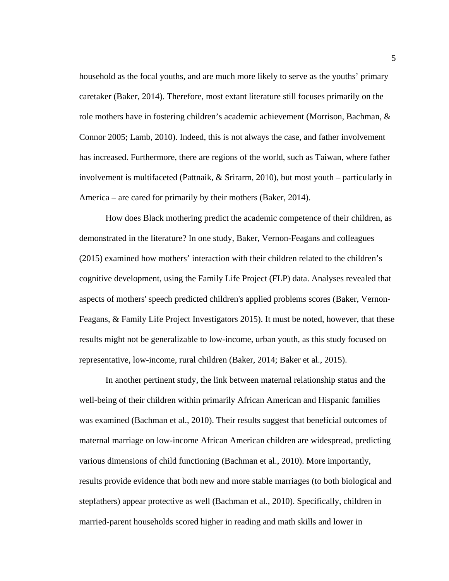household as the focal youths, and are much more likely to serve as the youths' primary caretaker (Baker, 2014). Therefore, most extant literature still focuses primarily on the role mothers have in fostering children's academic achievement (Morrison, Bachman, & Connor 2005; Lamb, 2010). Indeed, this is not always the case, and father involvement has increased. Furthermore, there are regions of the world, such as Taiwan, where father involvement is multifaceted (Pattnaik, & Srirarm, 2010), but most youth – particularly in America – are cared for primarily by their mothers (Baker, 2014).

How does Black mothering predict the academic competence of their children, as demonstrated in the literature? In one study, Baker, Vernon-Feagans and colleagues (2015) examined how mothers' interaction with their children related to the children's cognitive development, using the Family Life Project (FLP) data. Analyses revealed that aspects of mothers' speech predicted children's applied problems scores (Baker, Vernon-Feagans, & Family Life Project Investigators 2015). It must be noted, however, that these results might not be generalizable to low-income, urban youth, as this study focused on representative, low-income, rural children (Baker, 2014; Baker et al., 2015).

In another pertinent study, the link between maternal relationship status and the well-being of their children within primarily African American and Hispanic families was examined (Bachman et al., 2010). Their results suggest that beneficial outcomes of maternal marriage on low-income African American children are widespread, predicting various dimensions of child functioning (Bachman et al., 2010). More importantly, results provide evidence that both new and more stable marriages (to both biological and stepfathers) appear protective as well (Bachman et al., 2010). Specifically, children in married-parent households scored higher in reading and math skills and lower in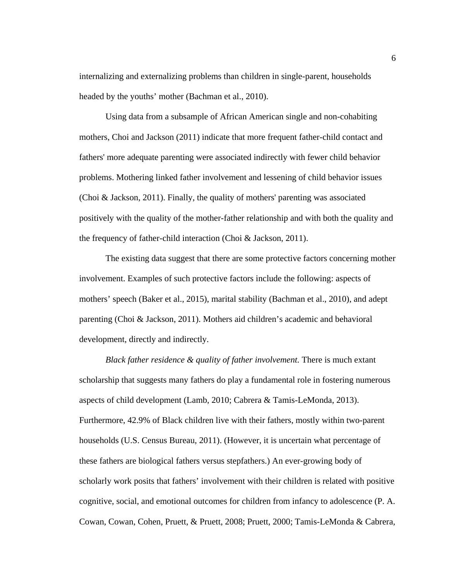internalizing and externalizing problems than children in single-parent, households headed by the youths' mother (Bachman et al., 2010).

Using data from a subsample of African American single and non-cohabiting mothers, Choi and Jackson (2011) indicate that more frequent father-child contact and fathers' more adequate parenting were associated indirectly with fewer child behavior problems. Mothering linked father involvement and lessening of child behavior issues (Choi & Jackson, 2011). Finally, the quality of mothers' parenting was associated positively with the quality of the mother-father relationship and with both the quality and the frequency of father-child interaction (Choi & Jackson, 2011).

The existing data suggest that there are some protective factors concerning mother involvement. Examples of such protective factors include the following: aspects of mothers' speech (Baker et al., 2015), marital stability (Bachman et al., 2010), and adept parenting (Choi & Jackson, 2011). Mothers aid children's academic and behavioral development, directly and indirectly.

*Black father residence & quality of father involvement.* There is much extant scholarship that suggests many fathers do play a fundamental role in fostering numerous aspects of child development (Lamb, 2010; Cabrera & Tamis-LeMonda, 2013). Furthermore, 42.9% of Black children live with their fathers, mostly within two-parent households (U.S. Census Bureau, 2011). (However, it is uncertain what percentage of these fathers are biological fathers versus stepfathers.) An ever-growing body of scholarly work posits that fathers' involvement with their children is related with positive cognitive, social, and emotional outcomes for children from infancy to adolescence (P. A. Cowan, Cowan, Cohen, Pruett, & Pruett, 2008; Pruett, 2000; Tamis-LeMonda & Cabrera,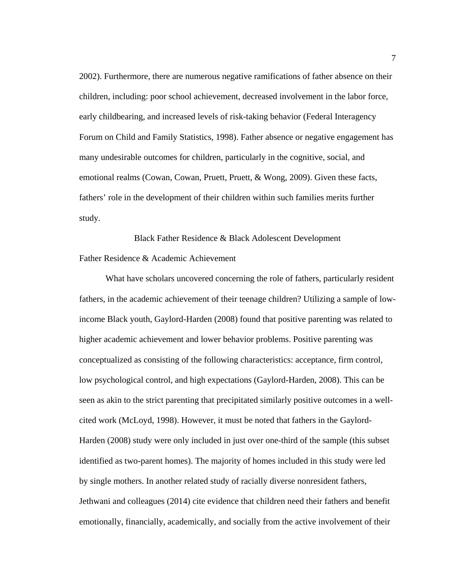2002). Furthermore, there are numerous negative ramifications of father absence on their children, including: poor school achievement, decreased involvement in the labor force, early childbearing, and increased levels of risk-taking behavior (Federal Interagency Forum on Child and Family Statistics, 1998). Father absence or negative engagement has many undesirable outcomes for children, particularly in the cognitive, social, and emotional realms (Cowan, Cowan, Pruett, Pruett, & Wong, 2009). Given these facts, fathers' role in the development of their children within such families merits further study.

Black Father Residence & Black Adolescent Development Father Residence & Academic Achievement

What have scholars uncovered concerning the role of fathers, particularly resident fathers, in the academic achievement of their teenage children? Utilizing a sample of lowincome Black youth, Gaylord-Harden (2008) found that positive parenting was related to higher academic achievement and lower behavior problems. Positive parenting was conceptualized as consisting of the following characteristics: acceptance, firm control, low psychological control, and high expectations (Gaylord-Harden, 2008). This can be seen as akin to the strict parenting that precipitated similarly positive outcomes in a wellcited work (McLoyd, 1998). However, it must be noted that fathers in the Gaylord-Harden (2008) study were only included in just over one-third of the sample (this subset identified as two-parent homes). The majority of homes included in this study were led by single mothers. In another related study of racially diverse nonresident fathers, Jethwani and colleagues (2014) cite evidence that children need their fathers and benefit emotionally, financially, academically, and socially from the active involvement of their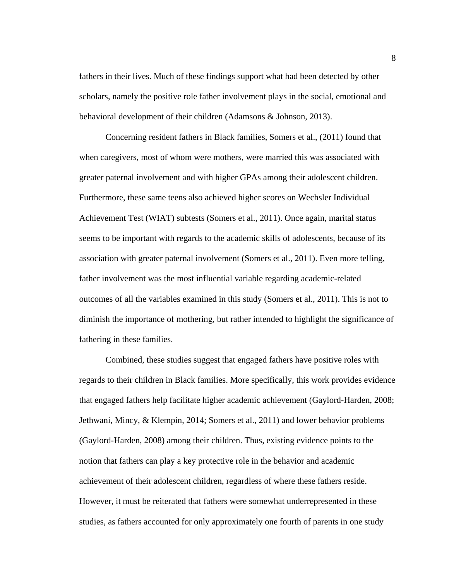fathers in their lives. Much of these findings support what had been detected by other scholars, namely the positive role father involvement plays in the social, emotional and behavioral development of their children (Adamsons & Johnson, 2013).

Concerning resident fathers in Black families, Somers et al., (2011) found that when caregivers, most of whom were mothers, were married this was associated with greater paternal involvement and with higher GPAs among their adolescent children. Furthermore, these same teens also achieved higher scores on Wechsler Individual Achievement Test (WIAT) subtests (Somers et al., 2011). Once again, marital status seems to be important with regards to the academic skills of adolescents, because of its association with greater paternal involvement (Somers et al., 2011). Even more telling, father involvement was the most influential variable regarding academic-related outcomes of all the variables examined in this study (Somers et al., 2011). This is not to diminish the importance of mothering, but rather intended to highlight the significance of fathering in these families.

Combined, these studies suggest that engaged fathers have positive roles with regards to their children in Black families. More specifically, this work provides evidence that engaged fathers help facilitate higher academic achievement (Gaylord-Harden, 2008; Jethwani, Mincy, & Klempin, 2014; Somers et al., 2011) and lower behavior problems (Gaylord-Harden, 2008) among their children. Thus, existing evidence points to the notion that fathers can play a key protective role in the behavior and academic achievement of their adolescent children, regardless of where these fathers reside. However, it must be reiterated that fathers were somewhat underrepresented in these studies, as fathers accounted for only approximately one fourth of parents in one study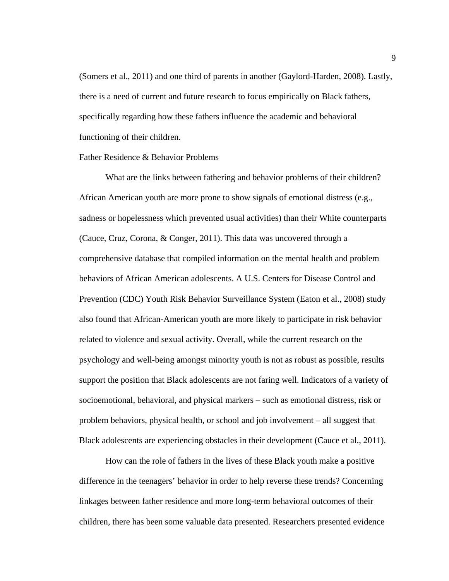(Somers et al., 2011) and one third of parents in another (Gaylord-Harden, 2008). Lastly, there is a need of current and future research to focus empirically on Black fathers, specifically regarding how these fathers influence the academic and behavioral functioning of their children.

#### Father Residence & Behavior Problems

What are the links between fathering and behavior problems of their children? African American youth are more prone to show signals of emotional distress (e.g., sadness or hopelessness which prevented usual activities) than their White counterparts (Cauce, Cruz, Corona, & Conger, 2011). This data was uncovered through a comprehensive database that compiled information on the mental health and problem behaviors of African American adolescents. A U.S. Centers for Disease Control and Prevention (CDC) Youth Risk Behavior Surveillance System (Eaton et al., 2008) study also found that African-American youth are more likely to participate in risk behavior related to violence and sexual activity. Overall, while the current research on the psychology and well-being amongst minority youth is not as robust as possible, results support the position that Black adolescents are not faring well. Indicators of a variety of socioemotional, behavioral, and physical markers – such as emotional distress, risk or problem behaviors, physical health, or school and job involvement – all suggest that Black adolescents are experiencing obstacles in their development (Cauce et al., 2011).

How can the role of fathers in the lives of these Black youth make a positive difference in the teenagers' behavior in order to help reverse these trends? Concerning linkages between father residence and more long-term behavioral outcomes of their children, there has been some valuable data presented. Researchers presented evidence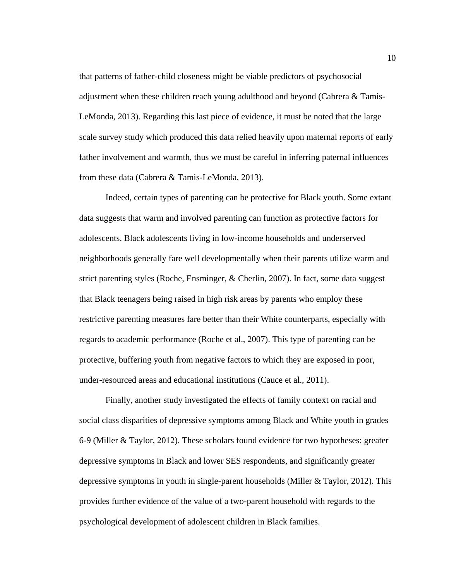that patterns of father-child closeness might be viable predictors of psychosocial adjustment when these children reach young adulthood and beyond (Cabrera & Tamis-LeMonda, 2013). Regarding this last piece of evidence, it must be noted that the large scale survey study which produced this data relied heavily upon maternal reports of early father involvement and warmth, thus we must be careful in inferring paternal influences from these data (Cabrera & Tamis-LeMonda, 2013).

Indeed, certain types of parenting can be protective for Black youth. Some extant data suggests that warm and involved parenting can function as protective factors for adolescents. Black adolescents living in low-income households and underserved neighborhoods generally fare well developmentally when their parents utilize warm and strict parenting styles (Roche, Ensminger, & Cherlin, 2007). In fact, some data suggest that Black teenagers being raised in high risk areas by parents who employ these restrictive parenting measures fare better than their White counterparts, especially with regards to academic performance (Roche et al., 2007). This type of parenting can be protective, buffering youth from negative factors to which they are exposed in poor, under-resourced areas and educational institutions (Cauce et al., 2011).

Finally, another study investigated the effects of family context on racial and social class disparities of depressive symptoms among Black and White youth in grades 6-9 (Miller & Taylor, 2012). These scholars found evidence for two hypotheses: greater depressive symptoms in Black and lower SES respondents, and significantly greater depressive symptoms in youth in single-parent households (Miller & Taylor, 2012). This provides further evidence of the value of a two-parent household with regards to the psychological development of adolescent children in Black families.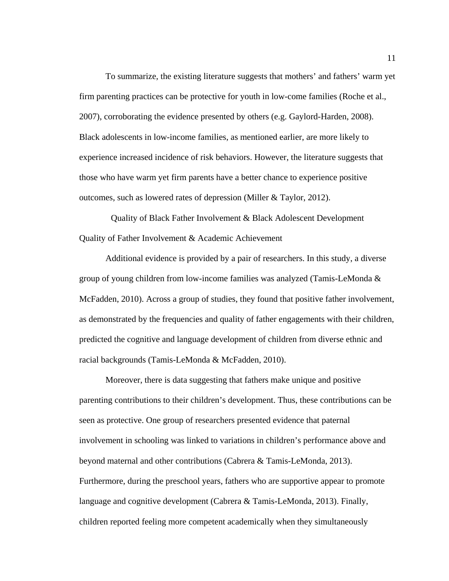To summarize, the existing literature suggests that mothers' and fathers' warm yet firm parenting practices can be protective for youth in low-come families (Roche et al., 2007), corroborating the evidence presented by others (e.g. Gaylord-Harden, 2008). Black adolescents in low-income families, as mentioned earlier, are more likely to experience increased incidence of risk behaviors. However, the literature suggests that those who have warm yet firm parents have a better chance to experience positive outcomes, such as lowered rates of depression (Miller & Taylor, 2012).

Quality of Black Father Involvement & Black Adolescent Development Quality of Father Involvement & Academic Achievement

Additional evidence is provided by a pair of researchers. In this study, a diverse group of young children from low-income families was analyzed (Tamis-LeMonda & McFadden, 2010). Across a group of studies, they found that positive father involvement, as demonstrated by the frequencies and quality of father engagements with their children, predicted the cognitive and language development of children from diverse ethnic and racial backgrounds (Tamis-LeMonda & McFadden, 2010).

Moreover, there is data suggesting that fathers make unique and positive parenting contributions to their children's development. Thus, these contributions can be seen as protective. One group of researchers presented evidence that paternal involvement in schooling was linked to variations in children's performance above and beyond maternal and other contributions (Cabrera & Tamis-LeMonda, 2013). Furthermore, during the preschool years, fathers who are supportive appear to promote language and cognitive development (Cabrera & Tamis-LeMonda, 2013). Finally, children reported feeling more competent academically when they simultaneously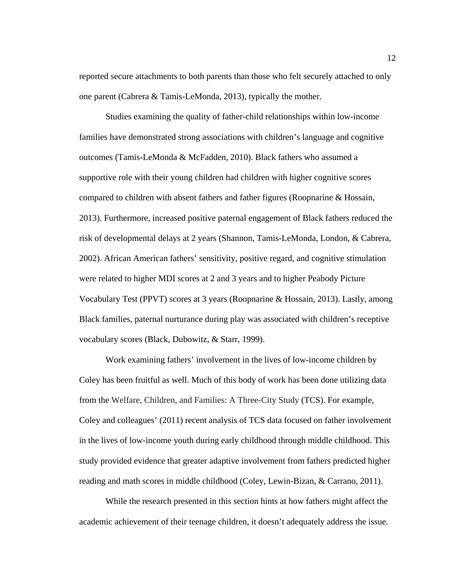reported secure attachments to both parents than those who felt securely attached to only one parent (Cabrera & Tamis-LeMonda, 2013), typically the mother.

Studies examining the quality of father-child relationships within low-income families have demonstrated strong associations with children's language and cognitive outcomes (Tamis-LeMonda & McFadden, 2010). Black fathers who assumed a supportive role with their young children had children with higher cognitive scores compared to children with absent fathers and father figures (Roopnarine & Hossain, 2013). Furthermore, increased positive paternal engagement of Black fathers reduced the risk of developmental delays at 2 years (Shannon, Tamis-LeMonda, London, & Cabrera, 2002). African American fathers' sensitivity, positive regard, and cognitive stimulation were related to higher MDI scores at 2 and 3 years and to higher Peabody Picture Vocabulary Test (PPVT) scores at 3 years (Roopnarine & Hossain, 2013). Lastly, among Black families, paternal nurturance during play was associated with children's receptive vocabulary scores (Black, Dubowitz, & Starr, 1999).

Work examining fathers' involvement in the lives of low-income children by Coley has been fruitful as well. Much of this body of work has been done utilizing data from the Welfare, Children, and Families: A Three-City Study (TCS). For example, Coley and colleagues' (2011) recent analysis of TCS data focused on father involvement in the lives of low-income youth during early childhood through middle childhood. This study provided evidence that greater adaptive involvement from fathers predicted higher reading and math scores in middle childhood (Coley, Lewin-Bizan, & Carrano, 2011).

While the research presented in this section hints at how fathers might affect the academic achievement of their teenage children, it doesn't adequately address the issue.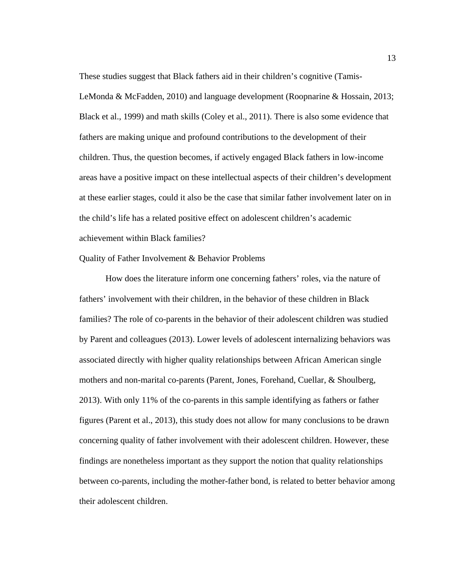These studies suggest that Black fathers aid in their children's cognitive (Tamis-LeMonda & McFadden, 2010) and language development (Roopnarine & Hossain, 2013; Black et al., 1999) and math skills (Coley et al., 2011). There is also some evidence that fathers are making unique and profound contributions to the development of their children. Thus, the question becomes, if actively engaged Black fathers in low-income areas have a positive impact on these intellectual aspects of their children's development at these earlier stages, could it also be the case that similar father involvement later on in the child's life has a related positive effect on adolescent children's academic achievement within Black families?

Quality of Father Involvement & Behavior Problems

How does the literature inform one concerning fathers' roles, via the nature of fathers' involvement with their children, in the behavior of these children in Black families? The role of co-parents in the behavior of their adolescent children was studied by Parent and colleagues (2013). Lower levels of adolescent internalizing behaviors was associated directly with higher quality relationships between African American single mothers and non-marital co-parents (Parent, Jones, Forehand, Cuellar, & Shoulberg, 2013). With only 11% of the co-parents in this sample identifying as fathers or father figures (Parent et al., 2013), this study does not allow for many conclusions to be drawn concerning quality of father involvement with their adolescent children. However, these findings are nonetheless important as they support the notion that quality relationships between co-parents, including the mother-father bond, is related to better behavior among their adolescent children.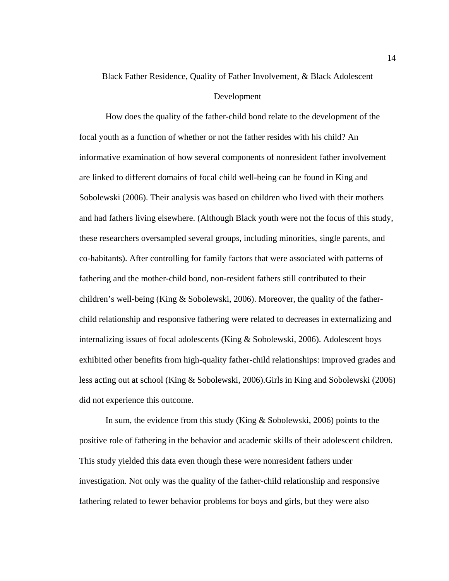# Black Father Residence, Quality of Father Involvement, & Black Adolescent

#### Development

How does the quality of the father-child bond relate to the development of the focal youth as a function of whether or not the father resides with his child? An informative examination of how several components of nonresident father involvement are linked to different domains of focal child well-being can be found in King and Sobolewski (2006). Their analysis was based on children who lived with their mothers and had fathers living elsewhere. (Although Black youth were not the focus of this study, these researchers oversampled several groups, including minorities, single parents, and co-habitants). After controlling for family factors that were associated with patterns of fathering and the mother-child bond, non-resident fathers still contributed to their children's well-being (King & Sobolewski, 2006). Moreover, the quality of the fatherchild relationship and responsive fathering were related to decreases in externalizing and internalizing issues of focal adolescents (King & Sobolewski, 2006). Adolescent boys exhibited other benefits from high-quality father-child relationships: improved grades and less acting out at school (King & Sobolewski, 2006).Girls in King and Sobolewski (2006) did not experience this outcome.

In sum, the evidence from this study (King & Sobolewski, 2006) points to the positive role of fathering in the behavior and academic skills of their adolescent children. This study yielded this data even though these were nonresident fathers under investigation. Not only was the quality of the father-child relationship and responsive fathering related to fewer behavior problems for boys and girls, but they were also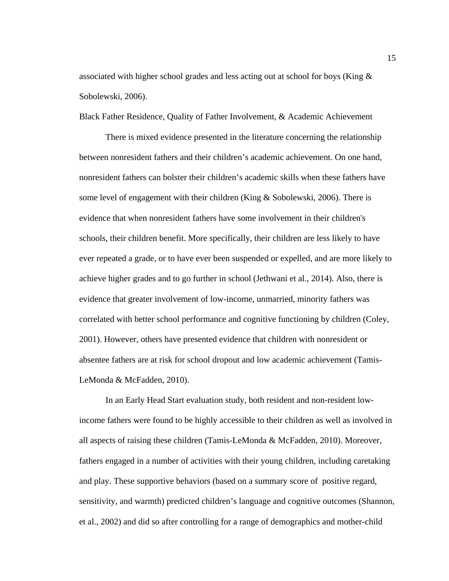associated with higher school grades and less acting out at school for boys (King & Sobolewski, 2006).

Black Father Residence, Quality of Father Involvement, & Academic Achievement

There is mixed evidence presented in the literature concerning the relationship between nonresident fathers and their children's academic achievement. On one hand, nonresident fathers can bolster their children's academic skills when these fathers have some level of engagement with their children (King  $&$  Sobolewski, 2006). There is evidence that when nonresident fathers have some involvement in their children's schools, their children benefit. More specifically, their children are less likely to have ever repeated a grade, or to have ever been suspended or expelled, and are more likely to achieve higher grades and to go further in school (Jethwani et al., 2014). Also, there is evidence that greater involvement of low-income, unmarried, minority fathers was correlated with better school performance and cognitive functioning by children (Coley, 2001). However, others have presented evidence that children with nonresident or absentee fathers are at risk for school dropout and low academic achievement (Tamis-LeMonda & McFadden, 2010).

In an Early Head Start evaluation study, both resident and non-resident lowincome fathers were found to be highly accessible to their children as well as involved in all aspects of raising these children (Tamis-LeMonda & McFadden, 2010). Moreover, fathers engaged in a number of activities with their young children, including caretaking and play. These supportive behaviors (based on a summary score of positive regard, sensitivity, and warmth) predicted children's language and cognitive outcomes (Shannon, et al., 2002) and did so after controlling for a range of demographics and mother-child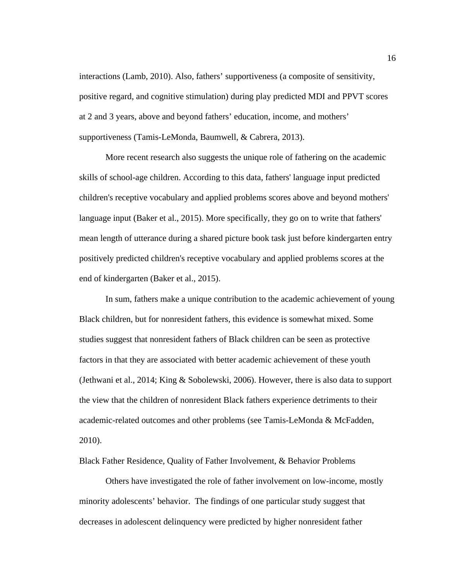interactions (Lamb, 2010). Also, fathers' supportiveness (a composite of sensitivity, positive regard, and cognitive stimulation) during play predicted MDI and PPVT scores at 2 and 3 years, above and beyond fathers' education, income, and mothers' supportiveness (Tamis-LeMonda, Baumwell, & Cabrera, 2013).

More recent research also suggests the unique role of fathering on the academic skills of school-age children. According to this data, fathers' language input predicted children's receptive vocabulary and applied problems scores above and beyond mothers' language input (Baker et al., 2015). More specifically, they go on to write that fathers' mean length of utterance during a shared picture book task just before kindergarten entry positively predicted children's receptive vocabulary and applied problems scores at the end of kindergarten (Baker et al., 2015).

In sum, fathers make a unique contribution to the academic achievement of young Black children, but for nonresident fathers, this evidence is somewhat mixed. Some studies suggest that nonresident fathers of Black children can be seen as protective factors in that they are associated with better academic achievement of these youth (Jethwani et al., 2014; King & Sobolewski, 2006). However, there is also data to support the view that the children of nonresident Black fathers experience detriments to their academic-related outcomes and other problems (see Tamis-LeMonda & McFadden, 2010).

Black Father Residence, Quality of Father Involvement, & Behavior Problems

Others have investigated the role of father involvement on low-income, mostly minority adolescents' behavior. The findings of one particular study suggest that decreases in adolescent delinquency were predicted by higher nonresident father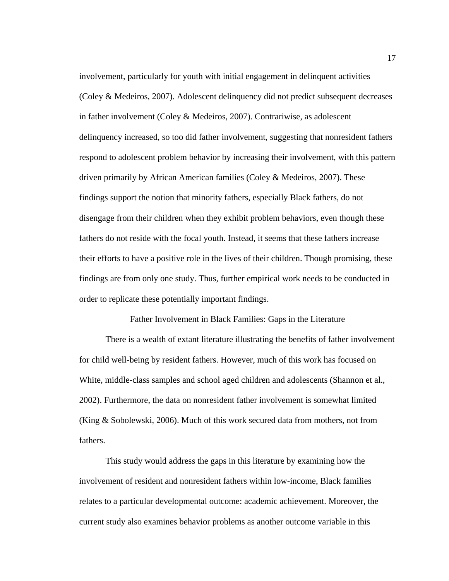involvement, particularly for youth with initial engagement in delinquent activities (Coley & Medeiros, 2007). Adolescent delinquency did not predict subsequent decreases in father involvement (Coley & Medeiros, 2007). Contrariwise, as adolescent delinquency increased, so too did father involvement, suggesting that nonresident fathers respond to adolescent problem behavior by increasing their involvement, with this pattern driven primarily by African American families (Coley & Medeiros, 2007). These findings support the notion that minority fathers, especially Black fathers, do not disengage from their children when they exhibit problem behaviors, even though these fathers do not reside with the focal youth. Instead, it seems that these fathers increase their efforts to have a positive role in the lives of their children. Though promising, these findings are from only one study. Thus, further empirical work needs to be conducted in order to replicate these potentially important findings.

Father Involvement in Black Families: Gaps in the Literature

There is a wealth of extant literature illustrating the benefits of father involvement for child well-being by resident fathers. However, much of this work has focused on White, middle-class samples and school aged children and adolescents (Shannon et al., 2002). Furthermore, the data on nonresident father involvement is somewhat limited (King & Sobolewski, 2006). Much of this work secured data from mothers, not from fathers.

This study would address the gaps in this literature by examining how the involvement of resident and nonresident fathers within low-income, Black families relates to a particular developmental outcome: academic achievement. Moreover, the current study also examines behavior problems as another outcome variable in this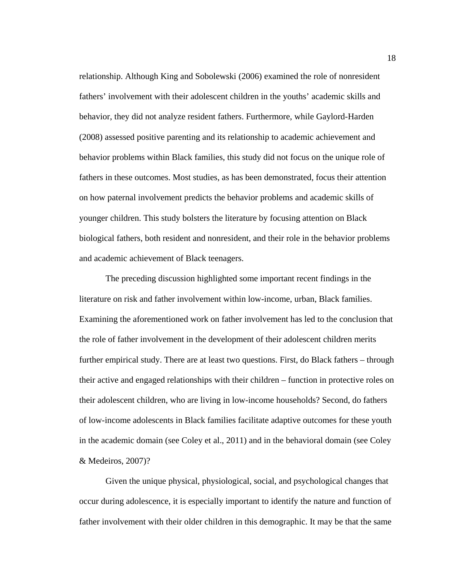relationship. Although King and Sobolewski (2006) examined the role of nonresident fathers' involvement with their adolescent children in the youths' academic skills and behavior, they did not analyze resident fathers. Furthermore, while Gaylord-Harden (2008) assessed positive parenting and its relationship to academic achievement and behavior problems within Black families, this study did not focus on the unique role of fathers in these outcomes. Most studies, as has been demonstrated, focus their attention on how paternal involvement predicts the behavior problems and academic skills of younger children. This study bolsters the literature by focusing attention on Black biological fathers, both resident and nonresident, and their role in the behavior problems and academic achievement of Black teenagers.

The preceding discussion highlighted some important recent findings in the literature on risk and father involvement within low-income, urban, Black families. Examining the aforementioned work on father involvement has led to the conclusion that the role of father involvement in the development of their adolescent children merits further empirical study. There are at least two questions. First, do Black fathers – through their active and engaged relationships with their children – function in protective roles on their adolescent children, who are living in low-income households? Second, do fathers of low-income adolescents in Black families facilitate adaptive outcomes for these youth in the academic domain (see Coley et al., 2011) and in the behavioral domain (see Coley & Medeiros, 2007)?

Given the unique physical, physiological, social, and psychological changes that occur during adolescence, it is especially important to identify the nature and function of father involvement with their older children in this demographic. It may be that the same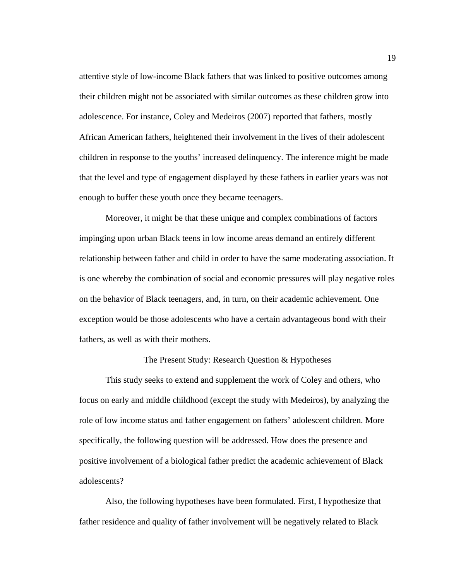attentive style of low-income Black fathers that was linked to positive outcomes among their children might not be associated with similar outcomes as these children grow into adolescence. For instance, Coley and Medeiros (2007) reported that fathers, mostly African American fathers, heightened their involvement in the lives of their adolescent children in response to the youths' increased delinquency. The inference might be made that the level and type of engagement displayed by these fathers in earlier years was not enough to buffer these youth once they became teenagers.

Moreover, it might be that these unique and complex combinations of factors impinging upon urban Black teens in low income areas demand an entirely different relationship between father and child in order to have the same moderating association. It is one whereby the combination of social and economic pressures will play negative roles on the behavior of Black teenagers, and, in turn, on their academic achievement. One exception would be those adolescents who have a certain advantageous bond with their fathers, as well as with their mothers.

### The Present Study: Research Question & Hypotheses

This study seeks to extend and supplement the work of Coley and others, who focus on early and middle childhood (except the study with Medeiros), by analyzing the role of low income status and father engagement on fathers' adolescent children. More specifically, the following question will be addressed. How does the presence and positive involvement of a biological father predict the academic achievement of Black adolescents?

Also, the following hypotheses have been formulated. First, I hypothesize that father residence and quality of father involvement will be negatively related to Black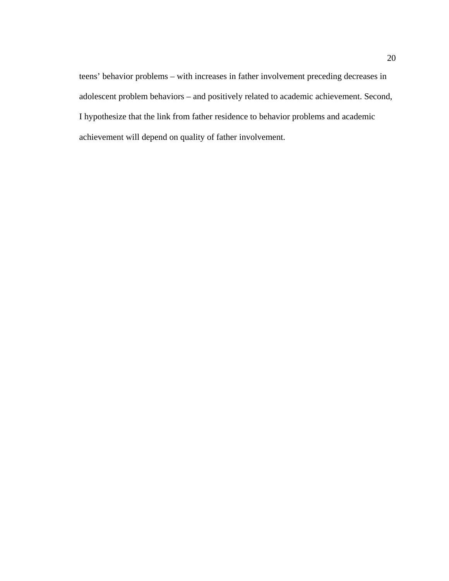teens' behavior problems – with increases in father involvement preceding decreases in adolescent problem behaviors – and positively related to academic achievement. Second, I hypothesize that the link from father residence to behavior problems and academic achievement will depend on quality of father involvement.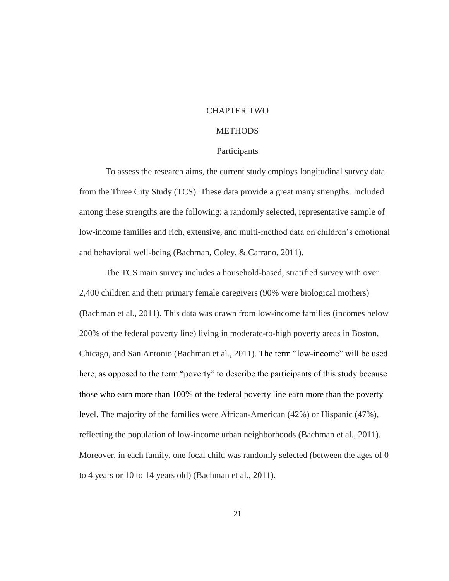## CHAPTER TWO

### **METHODS**

#### Participants

To assess the research aims, the current study employs longitudinal survey data from the Three City Study (TCS). These data provide a great many strengths. Included among these strengths are the following: a randomly selected, representative sample of low-income families and rich, extensive, and multi-method data on children's emotional and behavioral well-being (Bachman, Coley, & Carrano, 2011).

The TCS main survey includes a household-based, stratified survey with over 2,400 children and their primary female caregivers (90% were biological mothers) (Bachman et al., 2011). This data was drawn from low-income families (incomes below 200% of the federal poverty line) living in moderate-to-high poverty areas in Boston, Chicago, and San Antonio (Bachman et al., 2011). The term "low-income" will be used here, as opposed to the term "poverty" to describe the participants of this study because those who earn more than 100% of the federal poverty line earn more than the poverty level. The majority of the families were African-American (42%) or Hispanic (47%), reflecting the population of low-income urban neighborhoods (Bachman et al., 2011). Moreover, in each family, one focal child was randomly selected (between the ages of 0 to 4 years or 10 to 14 years old) (Bachman et al., 2011).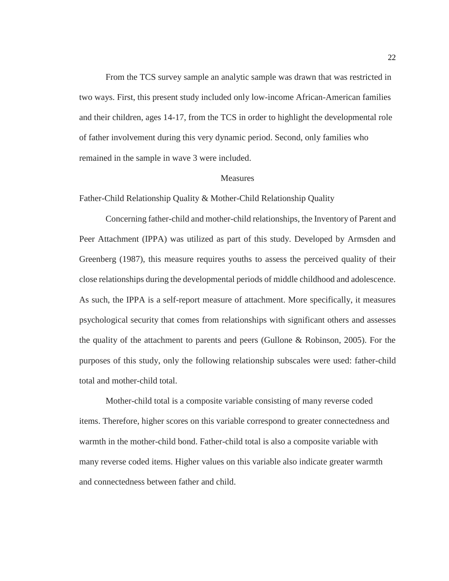From the TCS survey sample an analytic sample was drawn that was restricted in two ways. First, this present study included only low-income African-American families and their children, ages 14-17, from the TCS in order to highlight the developmental role of father involvement during this very dynamic period. Second, only families who remained in the sample in wave 3 were included.

#### **Measures**

Father-Child Relationship Quality & Mother-Child Relationship Quality

Concerning father-child and mother-child relationships, the Inventory of Parent and Peer Attachment (IPPA) was utilized as part of this study. Developed by Armsden and Greenberg (1987), this measure requires youths to assess the perceived quality of their close relationships during the developmental periods of middle childhood and adolescence. As such, the IPPA is a self-report measure of attachment. More specifically, it measures psychological security that comes from relationships with significant others and assesses the quality of the attachment to parents and peers (Gullone & Robinson, 2005). For the purposes of this study, only the following relationship subscales were used: father-child total and mother-child total.

Mother-child total is a composite variable consisting of many reverse coded items. Therefore, higher scores on this variable correspond to greater connectedness and warmth in the mother-child bond. Father-child total is also a composite variable with many reverse coded items. Higher values on this variable also indicate greater warmth and connectedness between father and child.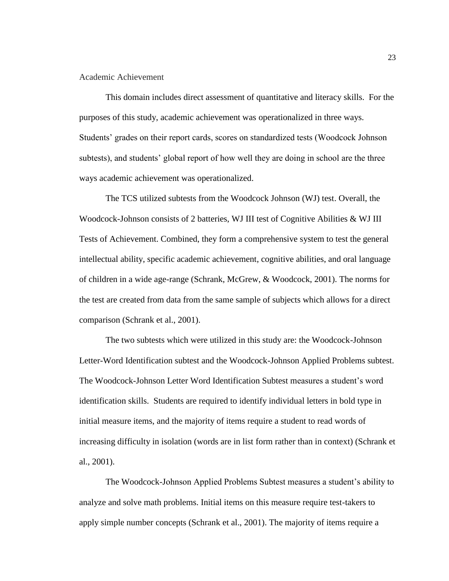#### Academic Achievement

This domain includes direct assessment of quantitative and literacy skills. For the purposes of this study, academic achievement was operationalized in three ways. Students' grades on their report cards, scores on standardized tests (Woodcock Johnson subtests), and students' global report of how well they are doing in school are the three ways academic achievement was operationalized.

The TCS utilized subtests from the Woodcock Johnson (WJ) test. Overall, the Woodcock-Johnson consists of 2 batteries, WJ III test of Cognitive Abilities & WJ III Tests of Achievement. Combined, they form a comprehensive system to test the general intellectual ability, specific academic achievement, cognitive abilities, and oral language of children in a wide age-range (Schrank, McGrew, & Woodcock, 2001). The norms for the test are created from data from the same sample of subjects which allows for a direct comparison (Schrank et al., 2001).

The two subtests which were utilized in this study are: the Woodcock-Johnson Letter-Word Identification subtest and the Woodcock-Johnson Applied Problems subtest. The Woodcock-Johnson Letter Word Identification Subtest measures a student's word identification skills. Students are required to identify individual letters in bold type in initial measure items, and the majority of items require a student to read words of increasing difficulty in isolation (words are in list form rather than in context) (Schrank et al., 2001).

The Woodcock-Johnson Applied Problems Subtest measures a student's ability to analyze and solve math problems. Initial items on this measure require test-takers to apply simple number concepts (Schrank et al., 2001). The majority of items require a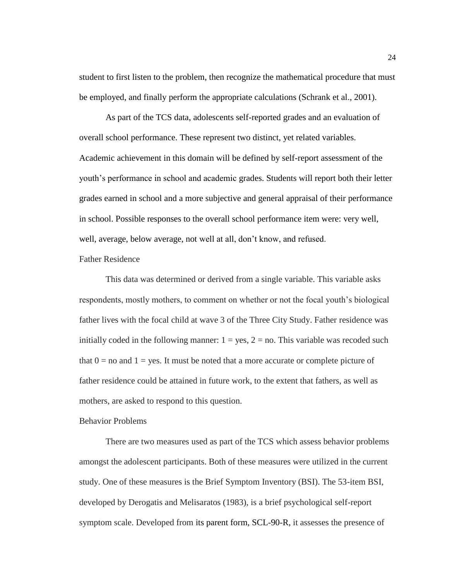student to first listen to the problem, then recognize the mathematical procedure that must be employed, and finally perform the appropriate calculations (Schrank et al., 2001).

As part of the TCS data, adolescents self-reported grades and an evaluation of overall school performance. These represent two distinct, yet related variables. Academic achievement in this domain will be defined by self-report assessment of the youth's performance in school and academic grades. Students will report both their letter grades earned in school and a more subjective and general appraisal of their performance in school. Possible responses to the overall school performance item were: very well, well, average, below average, not well at all, don't know, and refused.

#### Father Residence

This data was determined or derived from a single variable. This variable asks respondents, mostly mothers, to comment on whether or not the focal youth's biological father lives with the focal child at wave 3 of the Three City Study. Father residence was initially coded in the following manner:  $1 = yes$ ,  $2 = no$ . This variable was recoded such that  $0 =$  no and  $1 =$  yes. It must be noted that a more accurate or complete picture of father residence could be attained in future work, to the extent that fathers, as well as mothers, are asked to respond to this question.

## Behavior Problems

There are two measures used as part of the TCS which assess behavior problems amongst the adolescent participants. Both of these measures were utilized in the current study. One of these measures is the Brief Symptom Inventory (BSI). The 53-item BSI, developed by Derogatis and Melisaratos (1983), is a brief psychological self-report symptom scale. Developed from its parent form, SCL-90-R, it assesses the presence of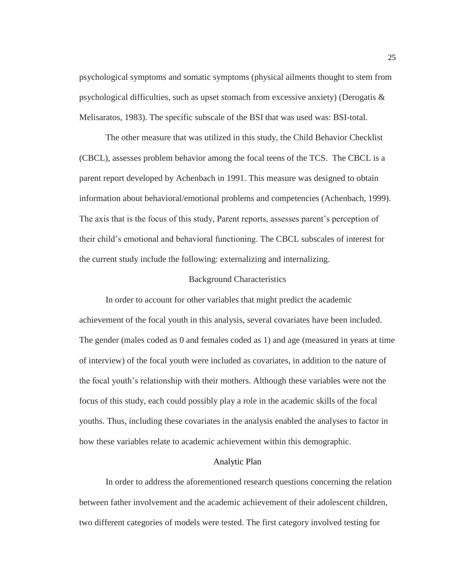psychological symptoms and somatic symptoms (physical ailments thought to stem from psychological difficulties, such as upset stomach from excessive anxiety) (Derogatis & Melisaratos, 1983). The specific subscale of the BSI that was used was: BSI-total.

The other measure that was utilized in this study, the Child Behavior Checklist (CBCL), assesses problem behavior among the focal teens of the TCS. The CBCL is a parent report developed by Achenbach in 1991. This measure was designed to obtain information about behavioral/emotional problems and competencies (Achenbach, 1999). The axis that is the focus of this study, Parent reports, assesses parent's perception of their child's emotional and behavioral functioning. The CBCL subscales of interest for the current study include the following: externalizing and internalizing.

#### Background Characteristics

In order to account for other variables that might predict the academic achievement of the focal youth in this analysis, several covariates have been included. The gender (males coded as 0 and females coded as 1) and age (measured in years at time of interview) of the focal youth were included as covariates, in addition to the nature of the focal youth's relationship with their mothers. Although these variables were not the focus of this study, each could possibly play a role in the academic skills of the focal youths. Thus, including these covariates in the analysis enabled the analyses to factor in how these variables relate to academic achievement within this demographic.

#### Analytic Plan

In order to address the aforementioned research questions concerning the relation between father involvement and the academic achievement of their adolescent children, two different categories of models were tested. The first category involved testing for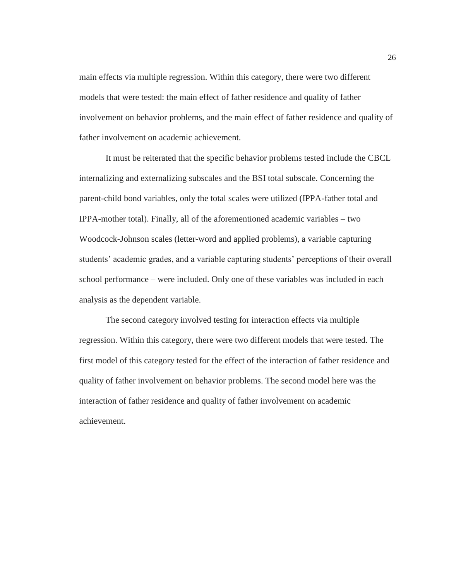main effects via multiple regression. Within this category, there were two different models that were tested: the main effect of father residence and quality of father involvement on behavior problems, and the main effect of father residence and quality of father involvement on academic achievement.

It must be reiterated that the specific behavior problems tested include the CBCL internalizing and externalizing subscales and the BSI total subscale. Concerning the parent-child bond variables, only the total scales were utilized (IPPA-father total and IPPA-mother total). Finally, all of the aforementioned academic variables – two Woodcock-Johnson scales (letter-word and applied problems), a variable capturing students' academic grades, and a variable capturing students' perceptions of their overall school performance – were included. Only one of these variables was included in each analysis as the dependent variable.

The second category involved testing for interaction effects via multiple regression. Within this category, there were two different models that were tested. The first model of this category tested for the effect of the interaction of father residence and quality of father involvement on behavior problems. The second model here was the interaction of father residence and quality of father involvement on academic achievement.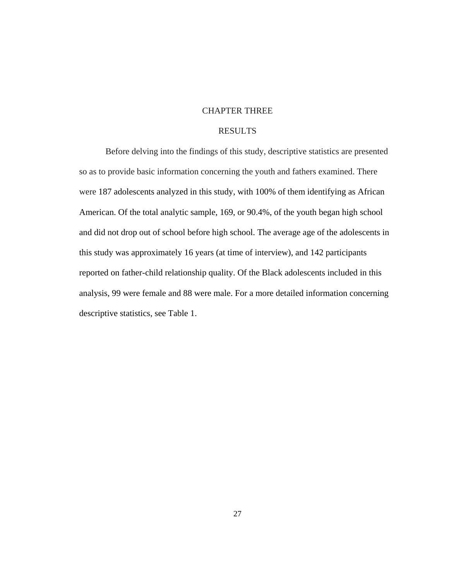## CHAPTER THREE

# RESULTS

Before delving into the findings of this study, descriptive statistics are presented so as to provide basic information concerning the youth and fathers examined. There were 187 adolescents analyzed in this study, with 100% of them identifying as African American. Of the total analytic sample, 169, or 90.4%, of the youth began high school and did not drop out of school before high school. The average age of the adolescents in this study was approximately 16 years (at time of interview), and 142 participants reported on father-child relationship quality. Of the Black adolescents included in this analysis, 99 were female and 88 were male. For a more detailed information concerning descriptive statistics, see Table 1.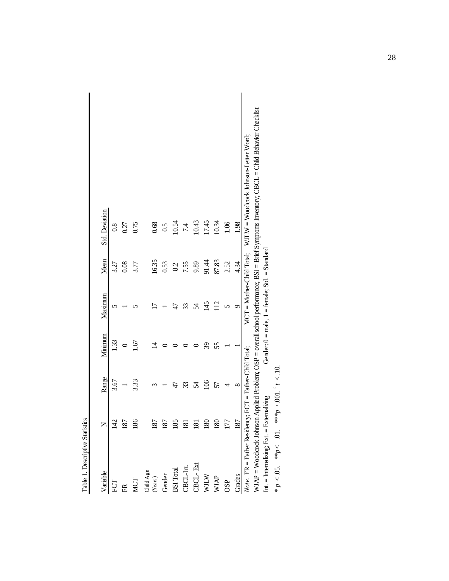| Table 1. Descriptive Statistics                        |                  |                                                                                |         |                                                   |       |                                                                                                                                            |
|--------------------------------------------------------|------------------|--------------------------------------------------------------------------------|---------|---------------------------------------------------|-------|--------------------------------------------------------------------------------------------------------------------------------------------|
| Variable                                               | $\square$        | Range                                                                          | Minimum | Maximum                                           | Mean  | <b>Std.</b> Deviation                                                                                                                      |
| $\mathop{\mathrm{FCT}}$                                | 142              | 3.67                                                                           | 1.33    |                                                   | 3.27  | 0.8                                                                                                                                        |
| $\widetilde{\mathbb{H}}$                               | 187              |                                                                                |         |                                                   | 0.08  | 0.27                                                                                                                                       |
| MCT                                                    | 186              | 3.33                                                                           | 1.67    |                                                   | 3.77  | 0.75                                                                                                                                       |
| Child Age<br>(Years)                                   | 187              |                                                                                |         |                                                   | 16.35 | 0.68                                                                                                                                       |
| Gender                                                 | 187              |                                                                                |         |                                                   | 0.53  | 0.5                                                                                                                                        |
| <b>BSI</b> Total                                       | 185              | 47                                                                             |         | 47                                                | 8.2   | 10.54                                                                                                                                      |
| CBCL-Int.                                              | $\overline{181}$ | 33                                                                             |         | 33                                                | 7.55  | 7.4                                                                                                                                        |
| CBCL-Ext.                                              | $\overline{181}$ | 54                                                                             |         | 54                                                | 9.89  | 10.43                                                                                                                                      |
| $\mathbf{W}\mathbf{I}\mathbf{I}\mathbf{W}$             | 180              | 106                                                                            | 39      | 145                                               | 91.44 | 17.45                                                                                                                                      |
| WJAP                                                   | 180              | 57                                                                             | 55      | 12                                                | 87.83 | 10.34                                                                                                                                      |
| OSP                                                    | 177              |                                                                                |         | 5                                                 | 2.52  | 1.06                                                                                                                                       |
| Grades                                                 | 187              | $\infty$                                                                       |         | σ                                                 | 4.34  | 1.98                                                                                                                                       |
| Note. FR = Father Residency; FCT = Father-Child Total; |                  |                                                                                |         |                                                   |       | $MCT = Mother-Child Total: WJLW = Woodcock Johnson-Letter Word:$                                                                           |
|                                                        |                  |                                                                                |         |                                                   |       | WJAP = Woodcock Johnson Applied Problem; OSP = overall school performance; BSI = Brief Symptoms Inventory; CBCL = Child Behavior Checklist |
| Int. = Internalizing; Ext. = Externalizing             |                  |                                                                                |         | Gender: $0 =$ male, $1 =$ female; Std. = Standard |       |                                                                                                                                            |
| * $n < 0.5$ ** $n < 0.1$                               |                  | $10^{17}$ $\rightarrow$ $1^{16}$ $\rightarrow$ $1^{16}$ $\rightarrow$ $1^{16}$ |         |                                                   |       |                                                                                                                                            |

| $\ddot{=}$           |
|----------------------|
| $\overline{5}$       |
| $d_{**}$             |
| 5                    |
| $> \! d_{\ast \ast}$ |
| .CS                  |
| ρ<br>Ķ.              |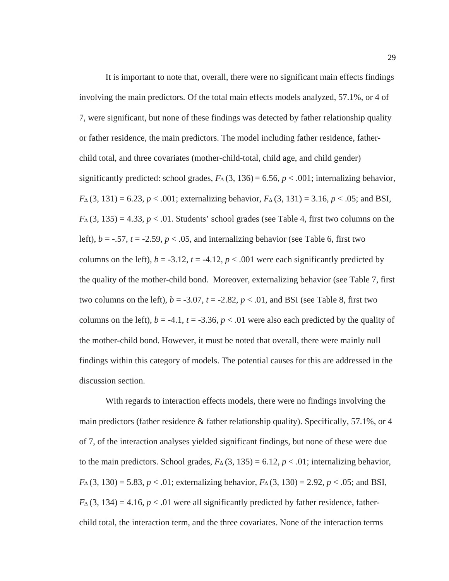It is important to note that, overall, there were no significant main effects findings involving the main predictors. Of the total main effects models analyzed, 57.1%, or 4 of 7, were significant, but none of these findings was detected by father relationship quality or father residence, the main predictors. The model including father residence, fatherchild total, and three covariates (mother-child-total, child age, and child gender) significantly predicted: school grades,  $F_\Delta$  (3, 136) = 6.56,  $p < .001$ ; internalizing behavior,  $F_{\Delta}(3, 131) = 6.23, p < .001$ ; externalizing behavior,  $F_{\Delta}(3, 131) = 3.16, p < .05$ ; and BSI,  $F_\Delta(3, 135) = 4.33, p < .01$ . Students' school grades (see Table 4, first two columns on the left),  $b = -0.57$ ,  $t = -2.59$ ,  $p < 0.05$ , and internalizing behavior (see Table 6, first two columns on the left),  $b = -3.12$ ,  $t = -4.12$ ,  $p < .001$  were each significantly predicted by the quality of the mother-child bond. Moreover, externalizing behavior (see Table 7, first two columns on the left),  $b = -3.07$ ,  $t = -2.82$ ,  $p < .01$ , and BSI (see Table 8, first two columns on the left),  $b = -4.1$ ,  $t = -3.36$ ,  $p < .01$  were also each predicted by the quality of the mother-child bond. However, it must be noted that overall, there were mainly null findings within this category of models. The potential causes for this are addressed in the discussion section.

With regards to interaction effects models, there were no findings involving the main predictors (father residence & father relationship quality). Specifically, 57.1%, or 4 of 7, of the interaction analyses yielded significant findings, but none of these were due to the main predictors. School grades,  $F_\text{A}(3, 135) = 6.12$ ,  $p < .01$ ; internalizing behavior,  $F_A(3, 130) = 5.83, p < .01$ ; externalizing behavior,  $F_A(3, 130) = 2.92, p < .05$ ; and BSI,  $F_\Delta$  (3, 134) = 4.16, *p* < .01 were all significantly predicted by father residence, fatherchild total, the interaction term, and the three covariates. None of the interaction terms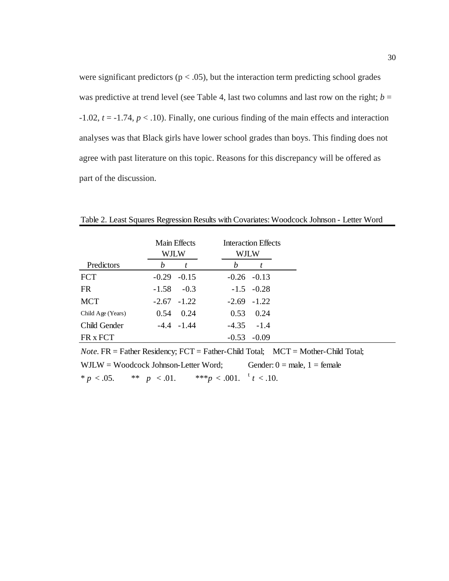were significant predictors ( $p < .05$ ), but the interaction term predicting school grades was predictive at trend level (see Table 4, last two columns and last row on the right;  $b =$ -1.02, *t* = -1.74, *p* < .10). Finally, one curious finding of the main effects and interaction analyses was that Black girls have lower school grades than boys. This finding does not agree with past literature on this topic. Reasons for this discrepancy will be offered as part of the discussion.

|                   |                 | Main Effects  |   | <b>Interaction Effects</b> |                                                                                        |
|-------------------|-----------------|---------------|---|----------------------------|----------------------------------------------------------------------------------------|
|                   | WJLW            |               |   | <b>WJLW</b>                |                                                                                        |
| Predictors        | b               | t             | b | t                          |                                                                                        |
| <b>FCT</b>        | $-0.29$ $-0.15$ |               |   | $-0.26$ $-0.13$            |                                                                                        |
| <b>FR</b>         | $-1.58$         | $-0.3$        |   | $-1.5 -0.28$               |                                                                                        |
| <b>MCT</b>        | $-2.67 -1.22$   |               |   | $-2.69$ $-1.22$            |                                                                                        |
| Child Age (Years) |                 | $0.54$ 0.24   |   | $0.53$ 0.24                |                                                                                        |
| Child Gender      |                 | $-4.4 - 1.44$ |   | $-4.35 - 1.4$              |                                                                                        |
| FR x FCT          |                 |               |   | $-0.53 - 0.09$             |                                                                                        |
|                   |                 |               |   |                            | <i>Note</i> $FR =$ Father Residency: $FCT =$ Father-Child Total: MCT = Mother-Child To |

Table 2. Least Squares Regression Results with Covariates: Woodcock Johnson - Letter Word

*Note.* FR = Father Residency; FCT = Father-Child Total; MCT = Mother-Child Total; WJLW = Woodcock Johnson-Letter Word; Gender:  $0 =$  male,  $1 =$  female \* *p* < .05. \*\* *p* < .01. \*\*\* *p* < .001. <sup>t</sup> *t* < .10.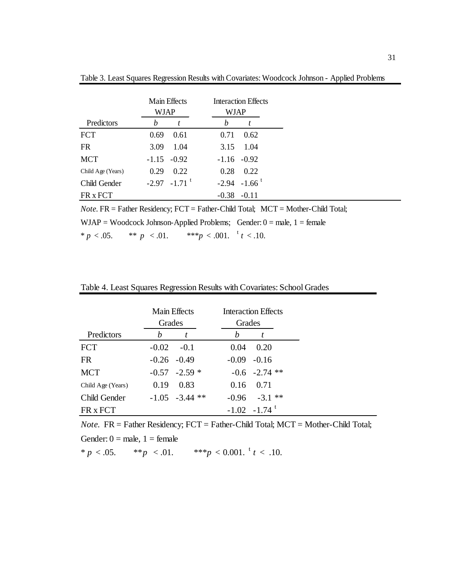|                   | <b>Main Effects</b><br>WJAP |                            | <b>Interaction Effects</b><br>WJAP |
|-------------------|-----------------------------|----------------------------|------------------------------------|
| Predictors        | h                           |                            | h                                  |
| <b>FCT</b>        | 0.69                        | 0.61                       | 0.62<br>0.71                       |
| <b>FR</b>         | 3.09                        | 1.04                       | 1.04<br>3.15                       |
| <b>MCT</b>        |                             | $-1.15 - 0.92$             | $-1.16 - 0.92$                     |
| Child Age (Years) | 0.29                        | 0.22                       | 0.28<br>0.22                       |
| Child Gender      |                             | $-2.97 -1.71$ <sup>t</sup> | $-2.94 - 1.66$ <sup>t</sup>        |
| FR x FCT          |                             |                            | $-0.38$<br>$-0.11$                 |

Table 3. Least Squares Regression Results with Covariates: Woodcock Johnson - Applied Problems

*Note.* FR = Father Residency; FCT = Father-Child Total; MCT = Mother-Child Total; WJAP = Woodcock Johnson-Applied Problems; Gender:  $0 =$  male,  $1 =$  female \*  $p < .05$ . \*\*  $p < .01$ . \*\*\* $p < .001$ .  $t < .10$ .

| Table 4. Least Squares Regression Results with Covariates: School Grades |  |  |
|--------------------------------------------------------------------------|--|--|
|                                                                          |  |  |

|                   | Main Effects   |                  |         | <b>Interaction Effects</b> |  |
|-------------------|----------------|------------------|---------|----------------------------|--|
|                   | Grades         |                  | Grades  |                            |  |
| Predictors        | h              |                  | h       |                            |  |
| <b>FCT</b>        | $-0.02$        | $-0.1$           | 0.04    | 0.20                       |  |
| <b>FR</b>         | $-0.26 - 0.49$ |                  |         | $-0.09 - 0.16$             |  |
| <b>MCT</b>        |                | $-0.57 -2.59$ *  |         | $-0.6$ $-2.74$ **          |  |
| Child Age (Years) | 0.19           | 0.83             |         | $0.16$ 0.71                |  |
| Child Gender      |                | $-1.05 -3.44$ ** | $-0.96$ | $-3.1$ **                  |  |
| FR x FCT          |                |                  |         | $-1.02 -1.74$ <sup>t</sup> |  |

*Note.* FR = Father Residency; FCT = Father-Child Total; MCT = Mother-Child Total;

Gender:  $0 =$  male,  $1 =$  female

\* *p* < .05. \*\* *p* < .01. \*\*\* *p* < 0.001. <sup>t</sup> *t* < .10.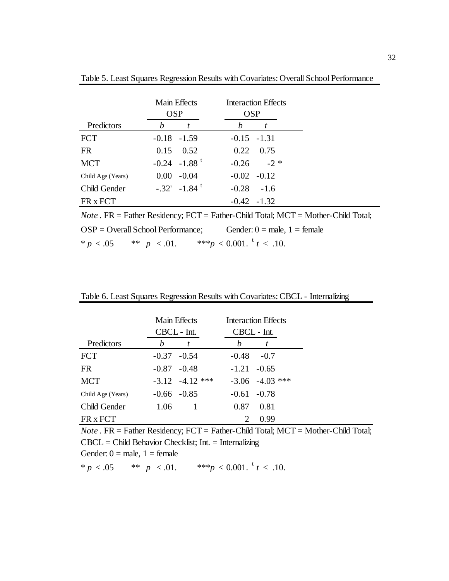|                   | Main Effects<br><b>OSP</b> | <b>Interaction Effects</b><br><b>OSP</b> |
|-------------------|----------------------------|------------------------------------------|
| Predictors        | h                          | h                                        |
| <b>FCT</b>        | $-0.18$ $-1.59$            | $-0.15 - 1.31$                           |
| <b>FR</b>         | 0.52<br>0.15               | 0.22<br>0.75                             |
| <b>MCT</b>        | $-0.24 -1.88$ <sup>t</sup> | $-2$ *<br>$-0.26$                        |
| Child Age (Years) | $-0.04$<br>0.00            | $-0.02 - 0.12$                           |
| Child Gender      | $-.32' -1.84$ <sup>t</sup> | $-0.28$<br>$-1.6$                        |
| FR x FCT          |                            | $-0.42 -1.32$                            |

Table 5. Least Squares Regression Results with Covariates: Overall School Performance

*Note* . FR = Father Residency; FCT = Father-Child Total; MCT = Mother-Child Total;  $OSP = Overall School Performance;$  Gender:  $0 = male, 1 = female$  $* p < .05$   $* p < .01.$ \*\*\* $p < 0.001$ .<sup>t</sup>  $t < .10$ .

Table 6. Least Squares Regression Results with Covariates: CBCL - Internalizing

|                   |         | Main Effects<br>CBCL - Int. |                             | Interaction Effects<br>CBCL - Int. |
|-------------------|---------|-----------------------------|-----------------------------|------------------------------------|
| Predictors        | h       | t                           | h                           |                                    |
| <b>FCT</b>        | $-0.37$ | $-0.54$                     | $-0.48$                     | $-0.7$                             |
| FR.               |         | $-0.87 - 0.48$              | $-1.21 - 0.65$              |                                    |
| <b>MCT</b>        |         | $-3.12$ $-4.12$ ***         |                             | ***<br>$-3.06$ $-4.03$             |
| Child Age (Years) |         | $-0.66 - 0.85$              | $-0.61$                     | $-0.78$                            |
| Child Gender      | 1.06    |                             | 0.87                        | 0.81                               |
| FR x FCT          |         |                             | $\mathcal{D}_{\mathcal{L}}$ | 0.99                               |

*Note* . FR = Father Residency; FCT = Father-Child Total; MCT = Mother-Child Total; CBCL = Child Behavior Checklist; Int. = Internalizing

Gender:  $0 =$  male,  $1 =$  female

\*  $p < .05$  \*\*  $p < .01$ . \*\*\* $p < 0.001$ .  $t < .10$ .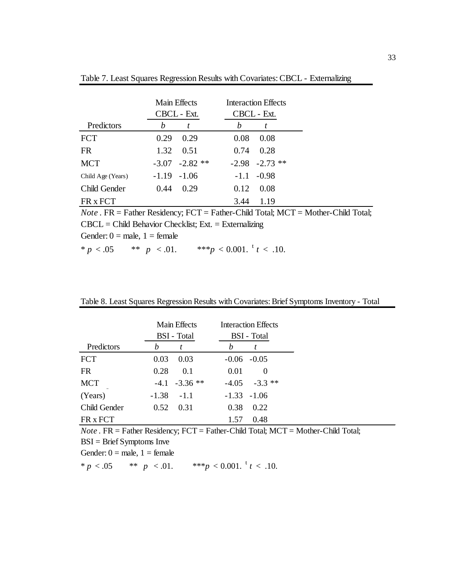|  |  |  |  | Table 7. Least Squares Regression Results with Covariates: CBCL - Externalizing |
|--|--|--|--|---------------------------------------------------------------------------------|
|  |  |  |  |                                                                                 |

|                   | Main Effects |             |        | <b>Interaction Effects</b> |  |
|-------------------|--------------|-------------|--------|----------------------------|--|
|                   |              | CBCL - Ext. |        | CBCL - Ext.                |  |
| Predictors        | h            | t           | h      |                            |  |
| <b>FCT</b>        | 0.29         | 0.29        | 0.08   | 0.08                       |  |
| FR.               | 1.32         | 0.51        | 0.74   | 0.28                       |  |
| <b>MCT</b>        | $-3.07$      | $-2.82$ **  |        | $-2.98$ $-2.73$ **         |  |
| Child Age (Years) | $-1.19$      | $-1.06$     | $-1.1$ | $-0.98$                    |  |
| Child Gender      | 0.44         | 0.29        | 0.12   | 0.08                       |  |
| FR x FCT          |              |             | 3.44   | 1.19                       |  |
|                   |              |             |        |                            |  |

*Note* . FR = Father Residency; FCT = Father-Child Total; MCT = Mother-Child Total; CBCL = Child Behavior Checklist; Ext. = Externalizing Gender:  $0 =$  male,  $1 =$  female \*  $p < .05$  \*\*  $p < .01$ . \*\*\* $p < 0.001$ . t  $t < .10$ .

Table 8. Least Squares Regression Results with Covariates: Brief Symptoms Inventory - Total

|              | Main Effects<br>BSI - Total | Interaction Effects<br>BSI - Total |
|--------------|-----------------------------|------------------------------------|
| Predictors   | h<br>t                      | h                                  |
| <b>FCT</b>   | 0.03<br>0.03                | $-0.05$<br>$-0.06$                 |
| <b>FR</b>    | 0.28<br>0.1                 | 0.01<br>$\theta$                   |
| <b>MCT</b>   | $-4.1 -3.36$ **             | $-3.3$ **<br>$-4.05$               |
| (Years)      | $-1.38$<br>$-1.1$           | $-1.06$<br>$-1.33$                 |
| Child Gender | 0.52<br>0.31                | 0.38<br>0.22                       |
| FR x FCT     |                             | 0.48<br>1.57                       |

*Note* . FR = Father Residency; FCT = Father-Child Total; MCT = Mother-Child Total;

 $BSI = Brief Symptoms$  Inve

Gender:  $0 =$  male,  $1 =$  female

\*  $p < .05$  \*\*  $p < .01$ . \*\*\* $p < 0.001$ .  $t < .10$ .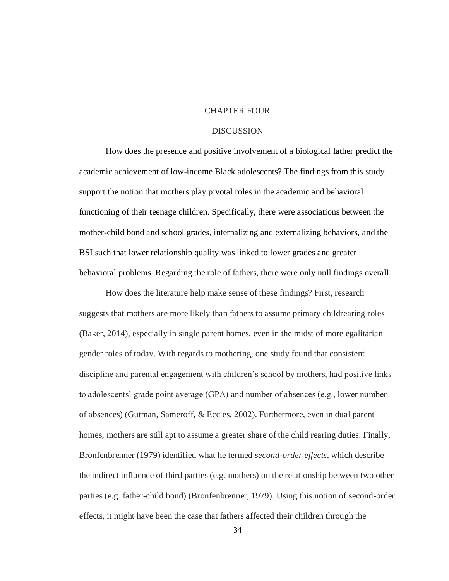### CHAPTER FOUR

#### **DISCUSSION**

How does the presence and positive involvement of a biological father predict the academic achievement of low-income Black adolescents? The findings from this study support the notion that mothers play pivotal roles in the academic and behavioral functioning of their teenage children. Specifically, there were associations between the mother-child bond and school grades, internalizing and externalizing behaviors, and the BSI such that lower relationship quality was linked to lower grades and greater behavioral problems. Regarding the role of fathers, there were only null findings overall.

How does the literature help make sense of these findings? First, research suggests that mothers are more likely than fathers to assume primary childrearing roles (Baker, 2014), especially in single parent homes, even in the midst of more egalitarian gender roles of today. With regards to mothering, one study found that consistent discipline and parental engagement with children's school by mothers, had positive links to adolescents' grade point average (GPA) and number of absences (e.g., lower number of absences) (Gutman, Sameroff, & Eccles, 2002). Furthermore, even in dual parent homes, mothers are still apt to assume a greater share of the child rearing duties. Finally, Bronfenbrenner (1979) identified what he termed *second-order effects*, which describe the indirect influence of third parties (e.g. mothers) on the relationship between two other parties (e.g. father-child bond) (Bronfenbrenner, 1979). Using this notion of second-order effects, it might have been the case that fathers affected their children through the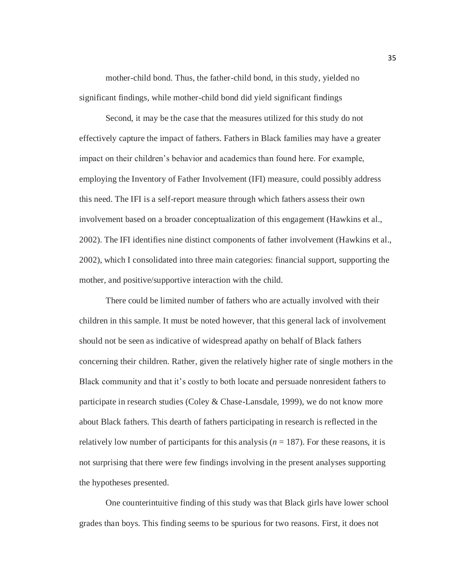mother-child bond. Thus, the father-child bond, in this study, yielded no significant findings, while mother-child bond did yield significant findings

Second, it may be the case that the measures utilized for this study do not effectively capture the impact of fathers. Fathers in Black families may have a greater impact on their children's behavior and academics than found here. For example, employing the Inventory of Father Involvement (IFI) measure, could possibly address this need. The IFI is a self-report measure through which fathers assess their own involvement based on a broader conceptualization of this engagement (Hawkins et al., 2002). The IFI identifies nine distinct components of father involvement (Hawkins et al., 2002), which I consolidated into three main categories: financial support, supporting the mother, and positive/supportive interaction with the child.

There could be limited number of fathers who are actually involved with their children in this sample. It must be noted however, that this general lack of involvement should not be seen as indicative of widespread apathy on behalf of Black fathers concerning their children. Rather, given the relatively higher rate of single mothers in the Black community and that it's costly to both locate and persuade nonresident fathers to participate in research studies (Coley & Chase-Lansdale, 1999), we do not know more about Black fathers. This dearth of fathers participating in research is reflected in the relatively low number of participants for this analysis ( $n = 187$ ). For these reasons, it is not surprising that there were few findings involving in the present analyses supporting the hypotheses presented.

One counterintuitive finding of this study was that Black girls have lower school grades than boys. This finding seems to be spurious for two reasons. First, it does not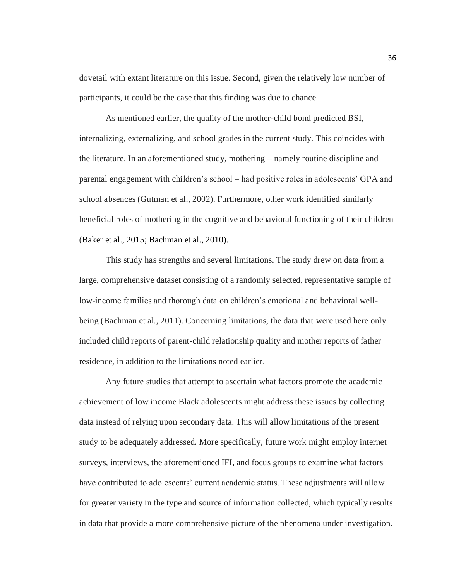dovetail with extant literature on this issue. Second, given the relatively low number of participants, it could be the case that this finding was due to chance.

As mentioned earlier, the quality of the mother-child bond predicted BSI, internalizing, externalizing, and school grades in the current study. This coincides with the literature. In an aforementioned study, mothering – namely routine discipline and parental engagement with children's school – had positive roles in adolescents' GPA and school absences (Gutman et al., 2002). Furthermore, other work identified similarly beneficial roles of mothering in the cognitive and behavioral functioning of their children (Baker et al., 2015; Bachman et al., 2010).

This study has strengths and several limitations. The study drew on data from a large, comprehensive dataset consisting of a randomly selected, representative sample of low-income families and thorough data on children's emotional and behavioral wellbeing (Bachman et al., 2011). Concerning limitations, the data that were used here only included child reports of parent-child relationship quality and mother reports of father residence, in addition to the limitations noted earlier.

Any future studies that attempt to ascertain what factors promote the academic achievement of low income Black adolescents might address these issues by collecting data instead of relying upon secondary data. This will allow limitations of the present study to be adequately addressed. More specifically, future work might employ internet surveys, interviews, the aforementioned IFI, and focus groups to examine what factors have contributed to adolescents' current academic status. These adjustments will allow for greater variety in the type and source of information collected, which typically results in data that provide a more comprehensive picture of the phenomena under investigation.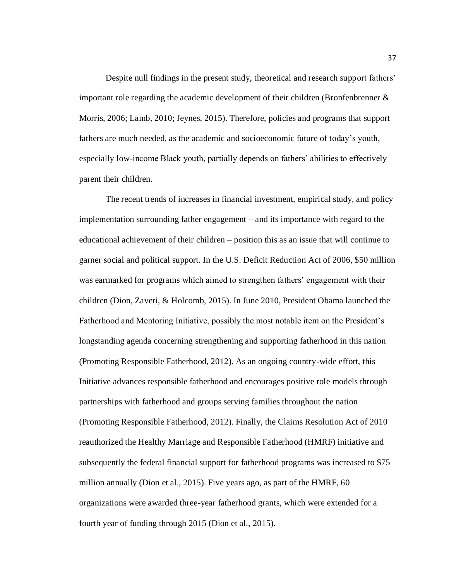Despite null findings in the present study, theoretical and research support fathers' important role regarding the academic development of their children (Bronfenbrenner  $\&$ Morris, 2006; Lamb, 2010; Jeynes, 2015). Therefore, policies and programs that support fathers are much needed, as the academic and socioeconomic future of today's youth, especially low-income Black youth, partially depends on fathers' abilities to effectively parent their children.

The recent trends of increases in financial investment, empirical study, and policy implementation surrounding father engagement – and its importance with regard to the educational achievement of their children – position this as an issue that will continue to garner social and political support. In the U.S. Deficit Reduction Act of 2006, \$50 million was earmarked for programs which aimed to strengthen fathers' engagement with their children (Dion, Zaveri, & Holcomb, 2015). In June 2010, President Obama launched the Fatherhood and Mentoring Initiative, possibly the most notable item on the President's longstanding agenda concerning strengthening and supporting fatherhood in this nation (Promoting Responsible Fatherhood, 2012). As an ongoing country-wide effort, this Initiative advances responsible fatherhood and encourages positive role models through partnerships with fatherhood and groups serving families throughout the nation (Promoting Responsible Fatherhood, 2012). Finally, the Claims Resolution Act of 2010 reauthorized the Healthy Marriage and Responsible Fatherhood (HMRF) initiative and subsequently the federal financial support for fatherhood programs was increased to \$75 million annually (Dion et al., 2015). Five years ago, as part of the HMRF, 60 organizations were awarded three-year fatherhood grants, which were extended for a fourth year of funding through 2015 (Dion et al., 2015).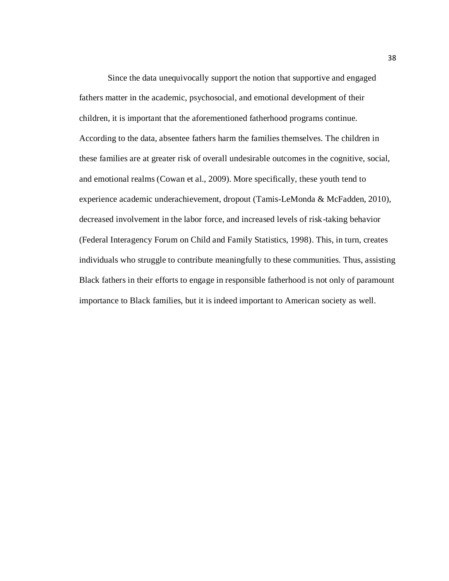Since the data unequivocally support the notion that supportive and engaged fathers matter in the academic, psychosocial, and emotional development of their children, it is important that the aforementioned fatherhood programs continue. According to the data, absentee fathers harm the families themselves. The children in these families are at greater risk of overall undesirable outcomes in the cognitive, social, and emotional realms (Cowan et al., 2009). More specifically, these youth tend to experience academic underachievement, dropout (Tamis-LeMonda & McFadden, 2010), decreased involvement in the labor force, and increased levels of risk-taking behavior (Federal Interagency Forum on Child and Family Statistics, 1998). This, in turn, creates individuals who struggle to contribute meaningfully to these communities. Thus, assisting Black fathers in their efforts to engage in responsible fatherhood is not only of paramount importance to Black families, but it is indeed important to American society as well.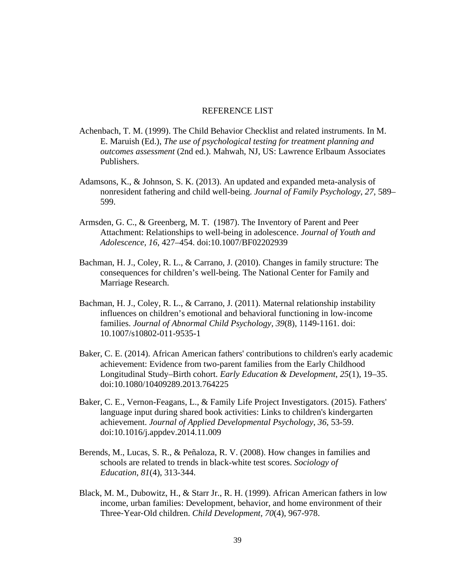#### REFERENCE LIST

- Achenbach, T. M. (1999). The Child Behavior Checklist and related instruments. In M. E. Maruish (Ed.), *The use of psychological testing for treatment planning and outcomes assessment* (2nd ed.). Mahwah, NJ, US: Lawrence Erlbaum Associates Publishers.
- Adamsons, K., & Johnson, S. K. (2013). An updated and expanded meta-analysis of nonresident fathering and child well-being. *Journal of Family Psychology*, *27*, 589– 599.
- Armsden, G. C., & Greenberg, M. T. (1987). The Inventory of Parent and Peer Attachment: Relationships to well-being in adolescence. *Journal of Youth and Adolescence, 16*, 427–454. doi:10.1007/BF02202939
- Bachman, H. J., Coley, R. L., & Carrano, J. (2010). Changes in family structure: The consequences for children's well-being. The National Center for Family and Marriage Research.
- Bachman, H. J., Coley, R. L., & Carrano, J. (2011). Maternal relationship instability influences on children's emotional and behavioral functioning in low-income families. *Journal of Abnormal Child Psychology, 39*(8), 1149-1161. doi: 10.1007/s10802-011-9535-1
- Baker, C. E. (2014). African American fathers' contributions to children's early academic achievement: Evidence from two-parent families from the Early Childhood Longitudinal Study–Birth cohort. *Early Education & Development*, *25*(1), 19–35. doi:10.1080/10409289.2013.764225
- Baker, C. E., Vernon-Feagans, L., & Family Life Project Investigators. (2015). Fathers' language input during shared book activities: Links to children's kindergarten achievement. *Journal of Applied Developmental Psychology*, *36*, 53-59. doi:10.1016/j.appdev.2014.11.009
- Berends, M., Lucas, S. R., & Peñaloza, R. V. (2008). How changes in families and schools are related to trends in black-white test scores. *Sociology of Education*, *81*(4), 313-344.
- Black, M. M., Dubowitz, H., & Starr Jr., R. H. (1999). African American fathers in low income, urban families: Development, behavior, and home environment of their Three‐Year‐Old children. *Child Development, 70*(4), 967-978.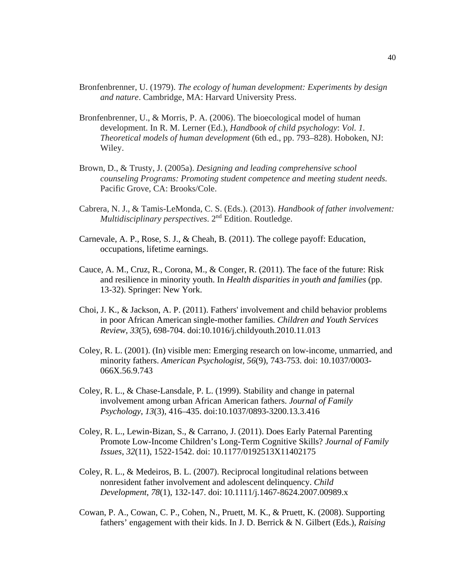- Bronfenbrenner, U. (1979). *The ecology of human development: Experiments by design and nature*. Cambridge, MA: Harvard University Press.
- Bronfenbrenner, U., & Morris, P. A. (2006). The bioecological model of human development. In R. M. Lerner (Ed.), *Handbook of child psychology*: *Vol. 1. Theoretical models of human development* (6th ed., pp. 793–828). Hoboken, NJ: Wiley.
- Brown, D., & Trusty, J. (2005a). *Designing and leading comprehensive school counseling Programs: Promoting student competence and meeting student needs.*  Pacific Grove, CA: Brooks/Cole.
- Cabrera, N. J., & Tamis-LeMonda, C. S. (Eds.). (2013). *Handbook of father involvement: Multidisciplinary perspectives*. 2nd Edition. Routledge.
- Carnevale, A. P., Rose, S. J., & Cheah, B. (2011). The college payoff: Education, occupations, lifetime earnings.
- Cauce, A. M., Cruz, R., Corona, M., & Conger, R. (2011). The face of the future: Risk and resilience in minority youth. In *Health disparities in youth and families* (pp. 13-32). Springer: New York.
- Choi, J. K., & Jackson, A. P. (2011). Fathers' involvement and child behavior problems in poor African American single-mother families. *Children and Youth Services Review*, *33*(5), 698-704. doi:10.1016/j.childyouth.2010.11.013
- Coley, R. L. (2001). (In) visible men: Emerging research on low-income, unmarried, and minority fathers. *American Psychologist, 56*(9), 743-753. doi: 10.1037/0003- 066X.56.9.743
- Coley, R. L., & Chase-Lansdale, P. L. (1999). Stability and change in paternal involvement among urban African American fathers. *Journal of Family Psychology*, *13*(3), 416–435. doi:10.1037/0893-3200.13.3.416
- Coley, R. L., Lewin-Bizan, S., & Carrano, J. (2011). Does Early Paternal Parenting Promote Low-Income Children's Long-Term Cognitive Skills? *Journal of Family Issues*, *32*(11), 1522-1542. doi: 10.1177/0192513X11402175
- Coley, R. L., & Medeiros, B. L. (2007). Reciprocal longitudinal relations between nonresident father involvement and adolescent delinquency. *Child Development*, *78*(1), 132-147. doi: 10.1111/j.1467-8624.2007.00989.x
- Cowan, P. A., Cowan, C. P., Cohen, N., Pruett, M. K., & Pruett, K. (2008). Supporting fathers' engagement with their kids. In J. D. Berrick & N. Gilbert (Eds.), *Raising*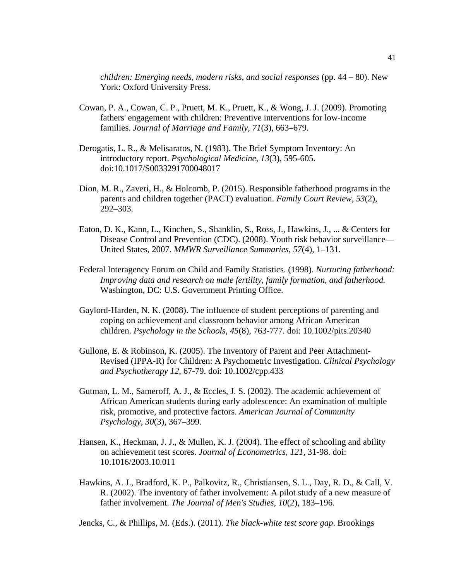*children: Emerging needs, modern risks, and social responses* (pp. 44 – 80). New York: Oxford University Press.

- Cowan, P. A., Cowan, C. P., Pruett, M. K., Pruett, K., & Wong, J. J. (2009). Promoting fathers' engagement with children: Preventive interventions for low‐income families. *Journal of Marriage and Family*, *71*(3), 663–679.
- Derogatis, L. R., & Melisaratos, N. (1983). The Brief Symptom Inventory: An introductory report. *Psychological Medicine, 13*(3), 595-605. doi:10.1017/S0033291700048017
- Dion, M. R., Zaveri, H., & Holcomb, P. (2015). Responsible fatherhood programs in the parents and children together (PACT) evaluation. *Family Court Review*, *53*(2), 292–303.
- Eaton, D. K., Kann, L., Kinchen, S., Shanklin, S., Ross, J., Hawkins, J., ... & Centers for Disease Control and Prevention (CDC). (2008). Youth risk behavior surveillance— United States, 2007. *MMWR Surveillance Summaries*, *57*(4), 1–131.
- Federal Interagency Forum on Child and Family Statistics. (1998). *Nurturing fatherhood: Improving data and research on male fertility, family formation, and fatherhood.* Washington, DC: U.S. Government Printing Office.
- Gaylord‐Harden, N. K. (2008). The influence of student perceptions of parenting and coping on achievement and classroom behavior among African American children. *Psychology in the Schools*, *45*(8), 763-777. doi: 10.1002/pits.20340
- Gullone, E. & Robinson, K. (2005). The Inventory of Parent and Peer Attachment-Revised (IPPA-R) for Children: A Psychometric Investigation. *Clinical Psychology and Psychotherapy 12*, 67-79. doi: 10.1002/cpp.433
- Gutman, L. M., Sameroff, A. J., & Eccles, J. S. (2002). The academic achievement of African American students during early adolescence: An examination of multiple risk, promotive, and protective factors. *American Journal of Community Psychology*, *30*(3), 367–399.
- Hansen, K., Heckman, J. J., & Mullen, K. J. (2004). The effect of schooling and ability on achievement test scores. *Journal of Econometrics, 121,* 31-98. doi: 10.1016/2003.10.011
- Hawkins, A. J., Bradford, K. P., Palkovitz, R., Christiansen, S. L., Day, R. D., & Call, V. R. (2002). The inventory of father involvement: A pilot study of a new measure of father involvement. *The Journal of Men's Studies*, *10*(2), 183–196.

Jencks, C., & Phillips, M. (Eds.). (2011). *The black-white test score gap*. Brookings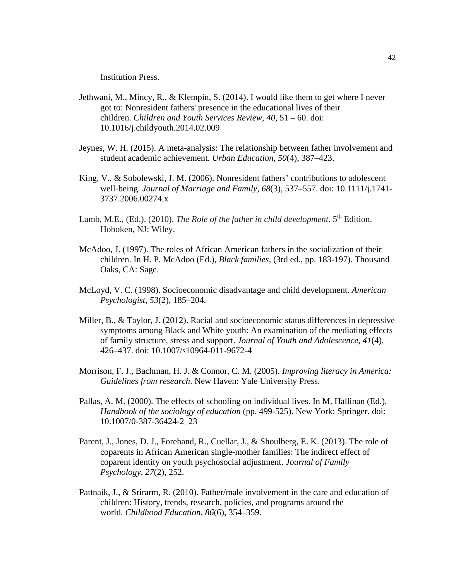Institution Press.

- Jethwani, M., Mincy, R., & Klempin, S. (2014). I would like them to get where I never got to: Nonresident fathers' presence in the educational lives of their children. *Children and Youth Services Review*, *40*, 51 – 60. doi: 10.1016/j.childyouth.2014.02.009
- Jeynes, W. H. (2015). A meta-analysis: The relationship between father involvement and student academic achievement. *Urban Education*, *50*(4), 387–423.
- King, V., & Sobolewski, J. M. (2006). Nonresident fathers' contributions to adolescent well‐being. *Journal of Marriage and Family*, *68*(3), 537–557. doi: 10.1111/j.1741- 3737.2006.00274.x
- Lamb, M.E., (Ed.). (2010). *The Role of the father in child development*. 5<sup>th</sup> Edition. Hoboken, NJ: Wiley.
- McAdoo, J. (1997). The roles of African American fathers in the socialization of their children. In H. P. McAdoo (Ed.), *Black families,* (3rd ed., pp. 183-197). Thousand Oaks, CA: Sage.
- McLoyd, V. C. (1998). Socioeconomic disadvantage and child development. *American Psychologist*, *53*(2), 185–204.
- Miller, B., & Taylor, J. (2012). Racial and socioeconomic status differences in depressive symptoms among Black and White youth: An examination of the mediating effects of family structure, stress and support. *Journal of Youth and Adolescence*, *41*(4), 426–437. doi: 10.1007/s10964-011-9672-4
- Morrison, F. J., Bachman, H. J. & Connor, C. M. (2005). *Improving literacy in America: Guidelines from research*. New Haven: Yale University Press.
- Pallas, A. M. (2000). The effects of schooling on individual lives. In M. Hallinan (Ed.), *Handbook of the sociology of education* (pp. 499-525). New York: Springer. doi: 10.1007/0-387-36424-2\_23
- Parent, J., Jones, D. J., Forehand, R., Cuellar, J., & Shoulberg, E. K. (2013). The role of coparents in African American single-mother families: The indirect effect of coparent identity on youth psychosocial adjustment. *Journal of Family Psychology*, *27*(2), 252.
- Pattnaik, J., & Srirarm, R. (2010). Father/male involvement in the care and education of children: History, trends, research, policies, and programs around the world. *Childhood Education*, *86*(6), 354–359.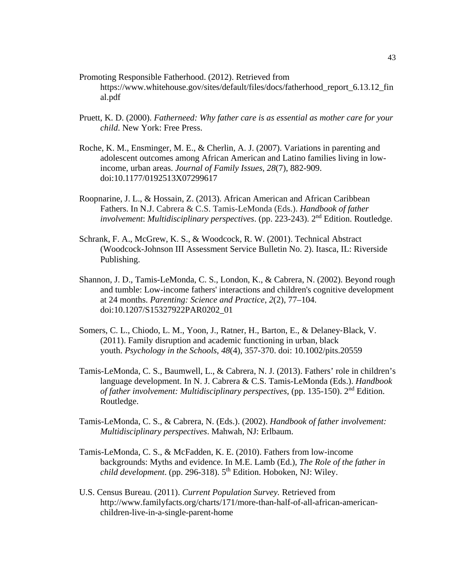- Promoting Responsible Fatherhood. (2012). Retrieved from [https://www.whitehouse.gov/sites/default/files/docs/fatherhood\\_report\\_6.13.12\\_fin](https://www.whitehouse.gov/sites/default/files/docs/fatherhood_report_6.13.12_final.pdf) [al.pdf](https://www.whitehouse.gov/sites/default/files/docs/fatherhood_report_6.13.12_final.pdf)
- Pruett, K. D. (2000). *Fatherneed: Why father care is as essential as mother care for your child*. New York: Free Press.
- Roche, K. M., Ensminger, M. E., & Cherlin, A. J. (2007). Variations in parenting and adolescent outcomes among African American and Latino families living in lowincome, urban areas. *Journal of Family Issues*, *28*(7), 882-909. doi:10.1177/0192513X07299617
- Roopnarine, J. L., & Hossain, Z. (2013). African American and African Caribbean Fathers. In N.J. Cabrera & C.S. Tamis-LeMonda (Eds.). *Handbook of father involvement*: *Multidisciplinary perspectives*. (pp. 223-243). 2nd Edition. Routledge.
- Schrank, F. A., McGrew, K. S., & Woodcock, R. W. (2001). Technical Abstract (Woodcock-Johnson III Assessment Service Bulletin No. 2). Itasca, IL: Riverside Publishing.
- Shannon, J. D., Tamis-LeMonda, C. S., London, K., & Cabrera, N. (2002). Beyond rough and tumble: Low-income fathers' interactions and children's cognitive development at 24 months. *Parenting: Science and Practice*, *2*(2), 77–104. doi:10.1207/S15327922PAR0202\_01
- Somers, C. L., Chiodo, L. M., Yoon, J., Ratner, H., Barton, E., & Delaney‐Black, V. (2011). Family disruption and academic functioning in urban, black youth. *Psychology in the Schools*, *48*(4), 357-370. doi: 10.1002/pits.20559
- Tamis-LeMonda, C. S., Baumwell, L., & Cabrera, N. J. (2013). Fathers' role in children's language development. In N. J. Cabrera & C.S. Tamis-LeMonda (Eds.). *Handbook of father involvement: Multidisciplinary perspectives*, (pp. 135-150). 2nd Edition. Routledge.
- Tamis-LeMonda, C. S., & Cabrera, N. (Eds.). (2002). *Handbook of father involvement: Multidisciplinary perspectives*. Mahwah, NJ: Erlbaum.
- Tamis-LeMonda, C. S., & McFadden, K. E. (2010). Fathers from low-income backgrounds: Myths and evidence. In M.E. Lamb (Ed.), *The Role of the father in child development*. (pp. 296-318). 5<sup>th</sup> Edition. Hoboken, NJ: Wiley.
- U.S. Census Bureau. (2011). *Current Population Survey.* Retrieved from [http://www.familyfacts.org/charts/171/more-than-half-of-all-african-american](http://www.familyfacts.org/charts/171/more-than-half-of-all-african-american-children-live-in-a-single-parent-home)[children-live-in-a-single-parent-home](http://www.familyfacts.org/charts/171/more-than-half-of-all-african-american-children-live-in-a-single-parent-home)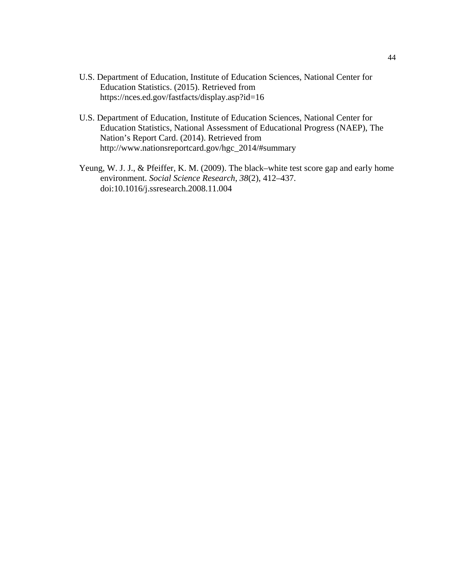- U.S. Department of Education, Institute of Education Sciences, National Center for Education Statistics. (2015). Retrieved from <https://nces.ed.gov/fastfacts/display.asp?id=16>
- U.S. Department of Education, Institute of Education Sciences, National Center for Education Statistics, National Assessment of Educational Progress (NAEP), The Nation's Report Card. (2014). Retrieved from [http://www.nationsreportcard.gov/hgc\\_2014/#summary](http://www.nationsreportcard.gov/hgc_2014/#summary)
- Yeung, W. J. J., & Pfeiffer, K. M. (2009). The black–white test score gap and early home environment. *Social Science Research*, *38*(2), 412–437. doi:10.1016/j.ssresearch.2008.11.004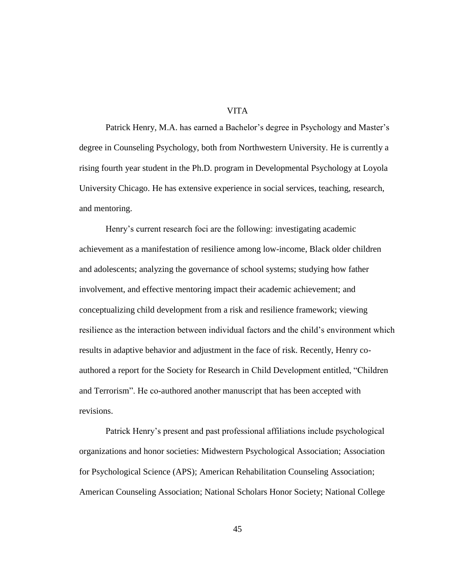## VITA

Patrick Henry, M.A. has earned a Bachelor's degree in Psychology and Master's degree in Counseling Psychology, both from Northwestern University. He is currently a rising fourth year student in the Ph.D. program in Developmental Psychology at Loyola University Chicago. He has extensive experience in social services, teaching, research, and mentoring.

Henry's current research foci are the following: investigating academic achievement as a manifestation of resilience among low-income, Black older children and adolescents; analyzing the governance of school systems; studying how father involvement, and effective mentoring impact their academic achievement; and conceptualizing child development from a risk and resilience framework; viewing resilience as the interaction between individual factors and the child's environment which results in adaptive behavior and adjustment in the face of risk. Recently, Henry coauthored a report for the Society for Research in Child Development entitled, "Children and Terrorism". He co-authored another manuscript that has been accepted with revisions.

Patrick Henry's present and past professional affiliations include psychological organizations and honor societies: Midwestern Psychological Association; Association for Psychological Science (APS); American Rehabilitation Counseling Association; American Counseling Association; National Scholars Honor Society; National College